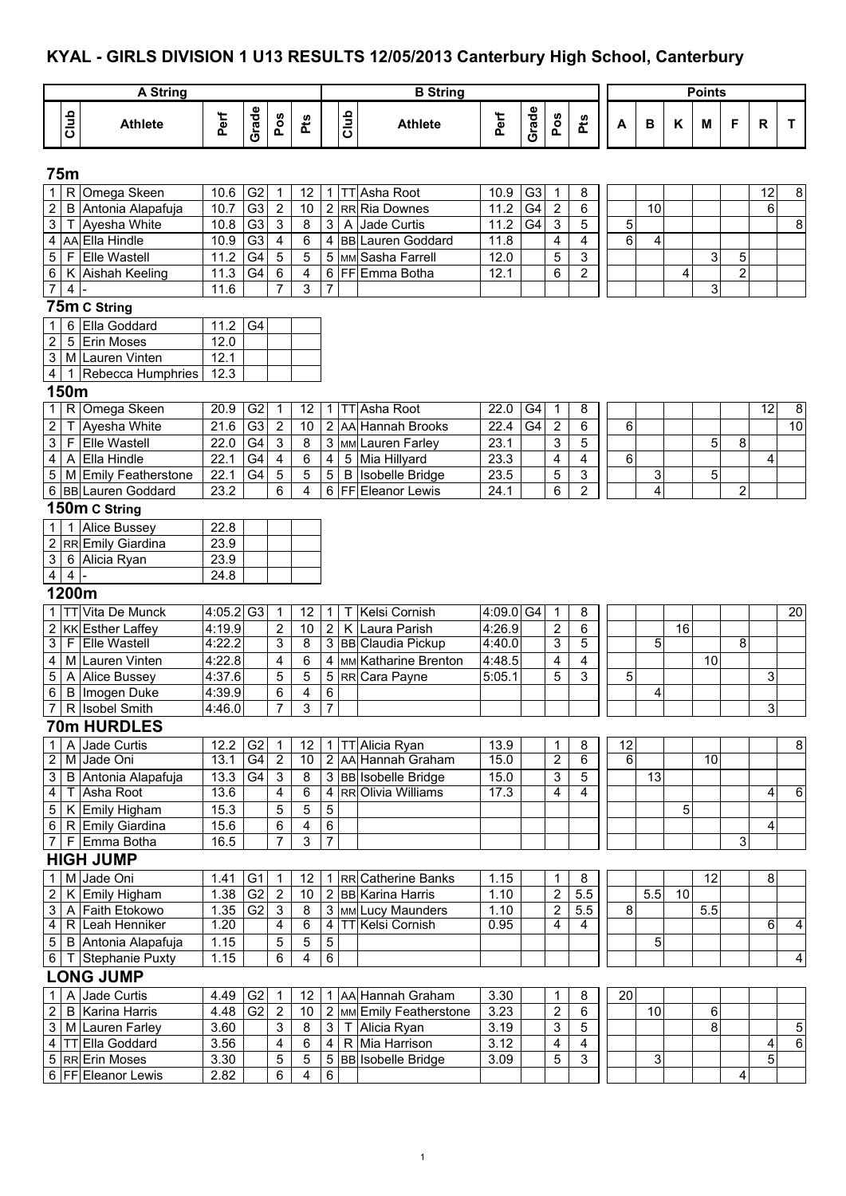#### **KYAL - GIRLS DIVISION 1 U13 RESULTS 12/05/2013 Canterbury High School, Canterbury**

|                                   |                         | <b>A String</b>                             |                       |                       |                                       |                                  |                         |      | <b>B</b> String                                      |              |                |                         |                                  |    |        |                 | <b>Points</b>   |                         |                 |                |
|-----------------------------------|-------------------------|---------------------------------------------|-----------------------|-----------------------|---------------------------------------|----------------------------------|-------------------------|------|------------------------------------------------------|--------------|----------------|-------------------------|----------------------------------|----|--------|-----------------|-----------------|-------------------------|-----------------|----------------|
|                                   | Club                    | <b>Athlete</b>                              | Perf                  | Grade                 | Pos                                   | Pts                              |                         | Glub | <b>Athlete</b>                                       | Perf         | Grade          | Pos                     | Pts                              | А  | B      | Κ               | M               | F                       | R               | T.             |
|                                   | <b>75m</b>              |                                             |                       |                       |                                       |                                  |                         |      |                                                      |              |                |                         |                                  |    |        |                 |                 |                         |                 |                |
| $\mathbf{1}$                      |                         | R Omega Skeen                               | 10.6                  | G <sub>2</sub>        | $\mathbf{1}$                          | 12                               | 1                       |      | TT Asha Root                                         | 10.9         | G <sub>3</sub> | $\mathbf 1$             | 8                                |    |        |                 |                 |                         | 12              | 8              |
| $\overline{2}$                    |                         | B Antonia Alapafuja                         | 10.7                  | G3                    | $\sqrt{2}$                            | 10                               | $\overline{2}$          |      | RR Ria Downes                                        | $11.2$       | G4             | $\overline{2}$          | 6                                |    | 10     |                 |                 |                         | 6               |                |
| 3                                 | Τ                       | Ayesha White                                | 10.8                  | G <sub>3</sub>        | $\overline{\omega}$                   | 8                                | 3 <sup>1</sup>          |      | A Jade Curtis                                        | 11.2         | G4             | $\mathbf{3}$            | 5                                | 5  |        |                 |                 |                         |                 | 8              |
|                                   |                         | 4 AA Ella Hindle                            | 10.9                  | G <sub>3</sub>        | $\overline{\mathbf{4}}$               | $\overline{6}$                   | 4 <sup>1</sup>          |      | <b>BB</b> Lauren Goddard                             | 11.8         |                | $\overline{\mathbf{4}}$ | 4                                | 6  | 4      |                 |                 |                         |                 |                |
| 5 <sub>5</sub><br>6               |                         | F Elle Wastell<br>K Aishah Keeling          | 11.2<br>11.3          | $\overline{G4}$<br>G4 | $\overline{5}$<br>$\,6\,$             | $\overline{5}$<br>$\overline{4}$ |                         |      | 5 MM Sasha Farrell<br>6 FF Emma Botha                | 12.0<br>12.1 |                | 5<br>6                  | $\overline{3}$<br>$\overline{2}$ |    |        | 4               | 3               | 5<br>$\overline{2}$     |                 |                |
| $\overline{7}$                    | $\overline{\mathbf{4}}$ |                                             | 11.6                  |                       |                                       | $\overline{3}$                   | $\overline{7}$          |      |                                                      |              |                |                         |                                  |    |        |                 | 3               |                         |                 |                |
|                                   |                         | 75m C String                                |                       |                       |                                       |                                  |                         |      |                                                      |              |                |                         |                                  |    |        |                 |                 |                         |                 |                |
| $\mathbf{1}$                      |                         | 6 Ella Goddard                              | 11.2                  | G4                    |                                       |                                  |                         |      |                                                      |              |                |                         |                                  |    |        |                 |                 |                         |                 |                |
| $\overline{2}$                    |                         | 5 Erin Moses                                | 12.0                  |                       |                                       |                                  |                         |      |                                                      |              |                |                         |                                  |    |        |                 |                 |                         |                 |                |
|                                   |                         | 3 M Lauren Vinten                           | 12.1                  |                       |                                       |                                  |                         |      |                                                      |              |                |                         |                                  |    |        |                 |                 |                         |                 |                |
| $\overline{4}$                    |                         | Rebecca Humphries                           | 12.3                  |                       |                                       |                                  |                         |      |                                                      |              |                |                         |                                  |    |        |                 |                 |                         |                 |                |
|                                   | 150m                    |                                             |                       |                       |                                       |                                  |                         |      |                                                      |              |                |                         |                                  |    |        |                 |                 |                         |                 |                |
| $\mathbf{1}$                      |                         | R Omega Skeen                               | 20.9                  | G2                    | 1                                     | 12                               | $\mathbf{1}$            |      | <b>TT</b> Asha Root                                  | 22.0         | G4             | $\overline{1}$          | 8                                |    |        |                 |                 |                         | $\overline{12}$ | $\overline{8}$ |
| $\overline{c}$                    | т                       | Ayesha White                                | 21.6                  | G <sub>3</sub>        | $\boldsymbol{2}$                      | 10                               | 2                       |      | AA Hannah Brooks                                     | 22.4         | G4             | $\sqrt{2}$              | 6                                | 6  |        |                 |                 |                         |                 | 10             |
| 3                                 |                         | F Elle Wastell                              | 22.0                  | G4                    | $\ensuremath{\mathsf{3}}$             | 8                                | 3 <sup>1</sup>          |      | MM Lauren Farley                                     | 23.1         |                | 3                       | 5                                |    |        |                 | 5               | 8                       |                 |                |
| 4                                 |                         | A Ella Hindle                               | 22.1                  | G <sub>4</sub><br>G4  | $\overline{\mathbf{4}}$<br>$\sqrt{5}$ | 6                                | $\overline{\mathbf{4}}$ |      | 5 Mia Hillyard                                       | 23.3         |                | 4                       | 4                                | 6  |        |                 |                 |                         | 4               |                |
| 5                                 |                         | M Emily Featherstone<br>6 BB Lauren Goddard | 22.1<br>23.2          |                       | 6                                     | 5<br>$\overline{4}$              | 5<br>6                  |      | <b>B</b> Isobelle Bridge<br><b>FFEIEleanor Lewis</b> | 23.5<br>24.1 |                | 5<br>6                  | 3<br>$\overline{2}$              |    | 3<br>4 |                 | 5               | 2                       |                 |                |
|                                   |                         | 150m C String                               |                       |                       |                                       |                                  |                         |      |                                                      |              |                |                         |                                  |    |        |                 |                 |                         |                 |                |
| $\mathbf{1}$                      |                         | <b>Alice Bussey</b>                         | 22.8                  |                       |                                       |                                  |                         |      |                                                      |              |                |                         |                                  |    |        |                 |                 |                         |                 |                |
| $\overline{2}$                    |                         | RR Emily Giardina                           | 23.9                  |                       |                                       |                                  |                         |      |                                                      |              |                |                         |                                  |    |        |                 |                 |                         |                 |                |
| 3                                 |                         | 6 Alicia Ryan                               | 23.9                  |                       |                                       |                                  |                         |      |                                                      |              |                |                         |                                  |    |        |                 |                 |                         |                 |                |
| $\overline{4}$                    | $\overline{\mathbf{4}}$ |                                             | 24.8                  |                       |                                       |                                  |                         |      |                                                      |              |                |                         |                                  |    |        |                 |                 |                         |                 |                |
|                                   | 1200m                   |                                             |                       |                       |                                       |                                  |                         |      |                                                      |              |                |                         |                                  |    |        |                 |                 |                         |                 |                |
| $\mathbf{1}$                      |                         | TT Vita De Munck                            | $4:05.2$ G3           |                       | $\mathbf 1$                           | 12                               | $\mathbf 1$             | T.   | Kelsi Cornish                                        | 4:09.0 G4    |                | $\mathbf{1}$            | 8                                |    |        |                 |                 |                         |                 | 20             |
|                                   |                         | 2 KK Esther Laffey                          | 4:19.9                |                       | $\overline{\mathbf{c}}$               | 10                               | $\overline{2}$          |      | K Laura Parish                                       | 4:26.9       |                | $\sqrt{2}$              | 6                                |    |        | 16              |                 |                         |                 |                |
| $\overline{3}$                    |                         | F Elle Wastell                              | 4:22.2                |                       | $\overline{3}$                        | $\overline{8}$                   |                         |      | 3 BB Claudia Pickup                                  | 4:40.0       |                | 3                       | 5                                |    | 5      |                 |                 | 8                       |                 |                |
| $\overline{4}$                    |                         | M Lauren Vinten                             | 4:22.8                |                       | $\overline{4}$                        | 6                                | $\overline{\mathbf{4}}$ |      | MM Katharine Brenton                                 | 4:48.5       |                | $\overline{\mathbf{4}}$ | 4                                |    |        |                 | 10              |                         |                 |                |
| $\overline{5}$<br>$6\overline{6}$ |                         | A Alice Bussey<br><b>B</b> Imogen Duke      | 4:37.6<br>4:39.9      |                       | 5<br>6                                | 5<br>4                           | 5 <sub>5</sub><br>6     |      | RR Cara Payne                                        | 5:05.1       |                | 5                       | 3                                | 5  |        |                 |                 |                         | 3               |                |
|                                   |                         | 7 R Isobel Smith                            | 4:46.0                |                       | $\overline{7}$                        | 3                                | $\overline{7}$          |      |                                                      |              |                |                         |                                  |    | 4      |                 |                 |                         | 3               |                |
|                                   |                         | <b>70m HURDLES</b>                          |                       |                       |                                       |                                  |                         |      |                                                      |              |                |                         |                                  |    |        |                 |                 |                         |                 |                |
| $\mathbf{1}$                      |                         | A Jade Curtis                               | 12.2                  | G <sub>2</sub>        | $\mathbf 1$                           | 12                               | 11                      |      | TT Alicia Ryan                                       | 13.9         |                | $\mathbf{1}$            | 8                                | 12 |        |                 |                 |                         |                 | 8              |
| $\overline{2}$                    |                         | M Jade Oni                                  | 13.1                  | G <sub>4</sub>        | $\overline{2}$                        | 10                               |                         |      | 2 AA Hannah Graham                                   | 15.0         |                | $\overline{2}$          | 6                                | 6  |        |                 | $\overline{10}$ |                         |                 |                |
| 3 <sup>1</sup>                    |                         | B Antonia Alapafuja                         | 13.3                  | G4                    | 3                                     | 8                                |                         |      | 3 BB Isobelle Bridge                                 | 15.0         |                | $\sqrt{3}$              | 5                                |    | 13     |                 |                 |                         |                 |                |
| $\overline{4}$                    |                         | T Asha Root                                 | 13.6                  |                       | 4                                     | $6\overline{6}$                  | 4                       |      | RROlivia Williams                                    | 17.3         |                | 4                       | $\overline{4}$                   |    |        |                 |                 |                         | 4               | 6              |
| 5 <sup>1</sup>                    |                         | K Emily Higham                              | 15.3                  |                       | 5                                     | 5                                | $\sqrt{5}$              |      |                                                      |              |                |                         |                                  |    |        | 5               |                 |                         |                 |                |
| $6\overline{6}$                   |                         | R Emily Giardina                            | 15.6                  |                       | 6                                     | 4                                | 6                       |      |                                                      |              |                |                         |                                  |    |        |                 |                 |                         | 4               |                |
| $\overline{7}$                    |                         | F Emma Botha                                | 16.5                  |                       | $\overline{7}$                        | 3                                | $\overline{7}$          |      |                                                      |              |                |                         |                                  |    |        |                 |                 | 3                       |                 |                |
|                                   |                         | <b>HIGH JUMP</b>                            |                       |                       |                                       |                                  |                         |      |                                                      |              |                |                         |                                  |    |        |                 |                 |                         |                 |                |
| 1.                                |                         | M Jade Oni                                  | 1.41                  | G <sub>1</sub>        | 1                                     | 12                               | 1 <sup>1</sup>          |      | RR Catherine Banks                                   | 1.15         |                | $\mathbf 1$             | 8                                |    |        |                 | 12              |                         | 8               |                |
| $2\vert$                          |                         | K Emily Higham                              | $1.38$ G <sub>2</sub> |                       | $\overline{2}$                        | 10                               |                         |      | 2 BB Karina Harris                                   | 1.10         |                | $\overline{2}$          | 5.5                              |    | 5.5    | $\overline{10}$ |                 |                         |                 |                |
| $\mathbf{3}$<br>$\overline{4}$    |                         | A Faith Etokowo<br>R Leah Henniker          | 1.35<br>1.20          | G <sub>2</sub>        | 3<br>$\overline{4}$                   | $\bf 8$<br>6                     | 3 <br>$\overline{4}$    |      | MM Lucy Maunders<br><b>TT Kelsi Cornish</b>          | 1.10<br>0.95 |                | $\overline{2}$<br>4     | 5.5<br>$\overline{4}$            | 8  |        |                 | 5.5             |                         | 6               | $\overline{4}$ |
|                                   |                         | 5   B Antonia Alapafuja                     | 1.15                  |                       | 5                                     | 5                                | $\,$ 5 $\,$             |      |                                                      |              |                |                         |                                  |    | 5      |                 |                 |                         |                 |                |
|                                   |                         | 6   T Stephanie Puxty                       | 1.15                  |                       | 6                                     | 4                                | 6                       |      |                                                      |              |                |                         |                                  |    |        |                 |                 |                         |                 | 4              |
|                                   |                         | <b>LONG JUMP</b>                            |                       |                       |                                       |                                  |                         |      |                                                      |              |                |                         |                                  |    |        |                 |                 |                         |                 |                |
| 1                                 |                         | Jade Curtis                                 | 4.49 G2               |                       | $\mathbf 1$                           | 12                               |                         |      | 1 AA Hannah Graham                                   | 3.30         |                | 1                       | 8                                | 20 |        |                 |                 |                         |                 |                |
| $\overline{c}$                    |                         | <b>B</b> Karina Harris                      | 4.48                  | G <sub>2</sub>        | $\overline{c}$                        | 10                               | 2 <sub>1</sub>          |      | MM Emily Featherstone                                | 3.23         |                | $\overline{c}$          | 6                                |    | 10     |                 | 6               |                         |                 |                |
|                                   |                         | 3 M Lauren Farley                           | 3.60                  |                       | 3                                     | $\bf 8$                          | $\mathbf{3}$            |      | T Alicia Ryan                                        | 3.19         |                | 3                       | 5                                |    |        |                 | 8               |                         |                 | 5              |
|                                   |                         | 4 TT Ella Goddard                           | 3.56                  |                       | $\overline{4}$                        | 6                                | $\overline{4}$          |      | R Mia Harrison                                       | 3.12         |                | $\overline{4}$          | 4                                |    |        |                 |                 |                         | 4               | $\overline{6}$ |
|                                   |                         | 5 RR Erin Moses                             | 3.30                  |                       | 5                                     | 5                                | 5 <sub>5</sub>          |      | <b>BB</b> Isobelle Bridge                            | 3.09         |                | 5                       | 3                                |    | 3      |                 |                 |                         | 5               |                |
|                                   |                         | 6 FF Eleanor Lewis                          | 2.82                  |                       | $\overline{6}$                        | $\overline{4}$                   | 6                       |      |                                                      |              |                |                         |                                  |    |        |                 |                 | $\overline{\mathbf{4}}$ |                 |                |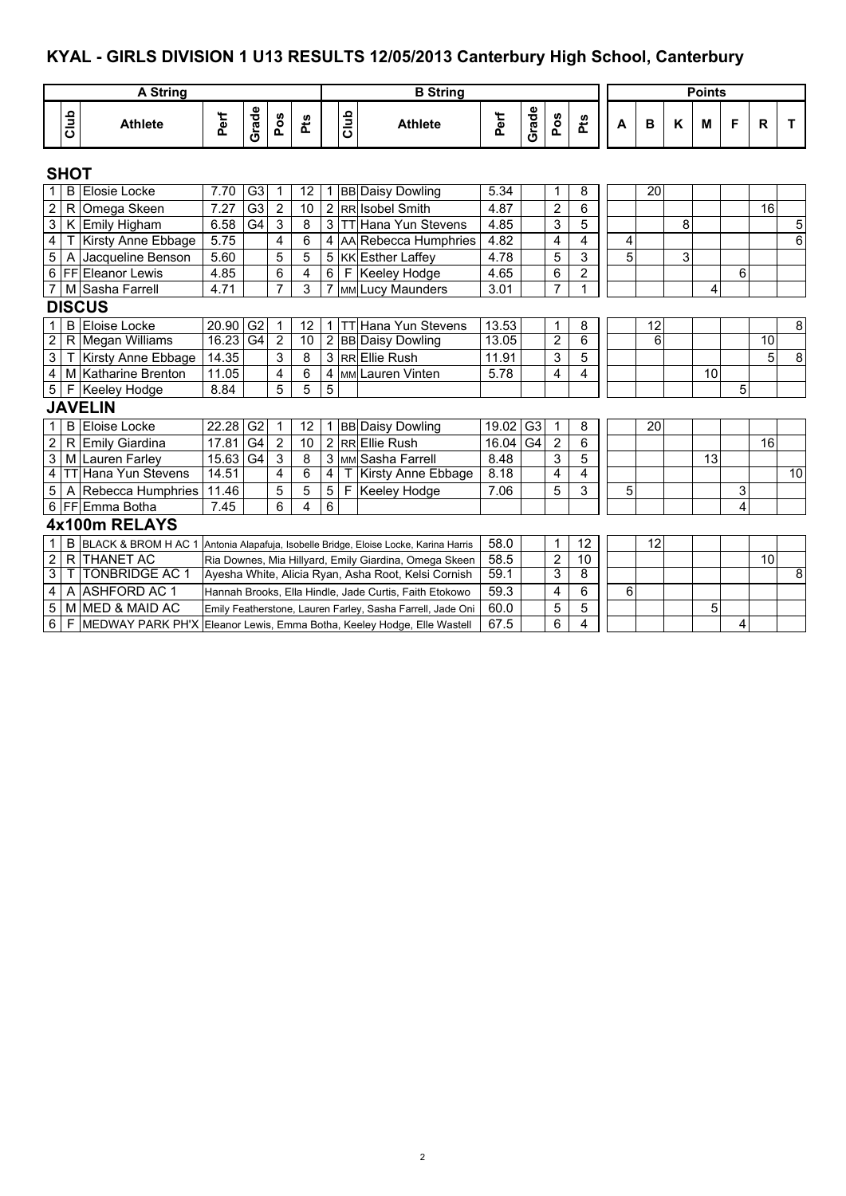## **KYAL - GIRLS DIVISION 1 U13 RESULTS 12/05/2013 Canterbury High School, Canterbury**

|                         |                | <b>A String</b>                                                        |       |                 |                |     |                |              | <b>B</b> String                                                 |       |                |                |                |   |                 |   | <b>Points</b> |   |                 |                |
|-------------------------|----------------|------------------------------------------------------------------------|-------|-----------------|----------------|-----|----------------|--------------|-----------------------------------------------------------------|-------|----------------|----------------|----------------|---|-----------------|---|---------------|---|-----------------|----------------|
|                         | Club           | <b>Athlete</b>                                                         | Perf  | Grade           | Pos            | Pts |                | Club         | <b>Athlete</b>                                                  | Perf  | Grade          | Pos            | Pts            | А | в               | K | М             | F | R               | т              |
|                         | <b>SHOT</b>    |                                                                        |       |                 |                |     |                |              |                                                                 |       |                |                |                |   |                 |   |               |   |                 |                |
|                         |                | <b>B</b> Elosie Locke                                                  | 7.70  | G3              | 1              | 12  |                |              | 1 BB Daisy Dowling                                              | 5.34  |                | 1              | 8              |   | $\overline{20}$ |   |               |   |                 |                |
| $\overline{c}$          | $\mathsf{R}$   | Omega Skeen                                                            | 7.27  | G <sub>3</sub>  | $\overline{2}$ | 10  |                |              | 2 RR Isobel Smith                                               | 4.87  |                | $\overline{2}$ | 6              |   |                 |   |               |   | 16              |                |
| $\overline{3}$          |                | K Emily Higham                                                         | 6.58  | $\overline{G4}$ | $\overline{3}$ | 8   | $\overline{3}$ |              | <b>TT Hana Yun Stevens</b>                                      | 4.85  |                | 3              | 5              |   |                 | 8 |               |   |                 | $\overline{5}$ |
| $\overline{4}$          |                | Kirsty Anne Ebbage                                                     | 5.75  |                 | 4              | 6   |                |              | 4 AA Rebecca Humphries                                          | 4.82  |                | 4              | $\overline{4}$ | 4 |                 |   |               |   |                 | $\overline{6}$ |
| 5                       | $\overline{A}$ | Jacqueline Benson                                                      | 5.60  |                 | 5              | 5   |                |              | 5 KK Esther Laffey                                              | 4.78  |                | 5              | 3              | 5 |                 | 3 |               |   |                 |                |
| $\overline{6}$          |                | <b>FF</b> Eleanor Lewis                                                | 4.85  |                 | 6              | 4   | 6              | F            | Keeley Hodge                                                    | 4.65  |                | 6              | $\overline{2}$ |   |                 |   |               | 6 |                 |                |
| $\overline{7}$          |                | M Sasha Farrell                                                        | 4.71  |                 | $\overline{7}$ | 3   | $\overline{7}$ |              | MM Lucy Maunders                                                | 3.01  |                | $\overline{7}$ | $\mathbf{1}$   |   |                 |   | 4             |   |                 |                |
|                         |                | <b>DISCUS</b>                                                          |       |                 |                |     |                |              |                                                                 |       |                |                |                |   |                 |   |               |   |                 |                |
| $\mathbf{1}$            |                | <b>B</b> Eloise Locke                                                  | 20.90 | G <sub>2</sub>  | 1              | 12  |                |              | 1 TT Hana Yun Stevens                                           | 13.53 |                | 1              | 8              |   | 12              |   |               |   |                 | 8              |
| $\overline{2}$          |                | R Megan Williams                                                       | 16.23 | G4              | $\overline{2}$ | 10  |                |              | 2 BB Daisy Dowling                                              | 13.05 |                | $\overline{2}$ | $\overline{6}$ |   | 6               |   |               |   | $\overline{10}$ |                |
| $\overline{3}$          | Т              | Kirsty Anne Ebbage                                                     | 14.35 |                 | 3              | 8   |                |              | 3 RREIlie Rush                                                  | 11.91 |                | 3              | 5              |   |                 |   |               |   | 5               | $\infty$       |
| $\overline{\mathbf{4}}$ | l M            | Katharine Brenton                                                      | 11.05 |                 | 4              | 6   |                |              | 4 MM Lauren Vinten                                              | 5.78  |                | 4              | 4              |   |                 |   | 10            |   |                 |                |
| $\overline{5}$          | F              | Keeley Hodge                                                           | 8.84  |                 | 5              | 5   | 5              |              |                                                                 |       |                |                |                |   |                 |   |               | 5 |                 |                |
|                         |                | <b>JAVELIN</b>                                                         |       |                 |                |     |                |              |                                                                 |       |                |                |                |   |                 |   |               |   |                 |                |
| $\mathbf{1}$            | B              | Eloise Locke                                                           | 22.28 | G <sub>2</sub>  | 1              | 12  |                |              | 1 BB Daisy Dowling                                              | 19.02 | G <sub>3</sub> | $\overline{1}$ | $\bf 8$        |   | 20              |   |               |   |                 |                |
| $\mathbf 2$             | $\mathsf{R}$   | Emily Giardina                                                         | 17.81 | G4              | $\overline{2}$ | 10  |                |              | 2 RR Ellie Rush                                                 | 16.04 | G <sub>4</sub> | $\overline{2}$ | $\overline{6}$ |   |                 |   |               |   | 16              |                |
| $\overline{3}$          | M              | <b>Lauren Farley</b>                                                   | 15.63 | G <sub>4</sub>  | $\mathbf{3}$   | 8   |                |              | 3 MM Sasha Farrell                                              | 8.48  |                | 3              | $\overline{5}$ |   |                 |   | 13            |   |                 |                |
| $\overline{4}$          | <b>TT</b>      | Hana Yun Stevens                                                       | 14.51 |                 | 4              | 6   | $\overline{4}$ |              | <b>Kirsty Anne Ebbage</b>                                       | 8.18  |                | 4              | 4              |   |                 |   |               |   |                 | 10             |
| $\overline{5}$          |                | A Rebecca Humphries                                                    | 11.46 |                 | 5              | 5   | 5 <sup>5</sup> | $\mathsf{F}$ | Keeley Hodge                                                    | 7.06  |                | 5              | 3              | 5 |                 |   |               | 3 |                 |                |
| 6                       |                | <b>FF</b> Emma Botha                                                   | 7.45  |                 | 6              | 4   | 6              |              |                                                                 |       |                |                |                |   |                 |   |               | 4 |                 |                |
|                         |                | 4x100m RELAYS                                                          |       |                 |                |     |                |              |                                                                 |       |                |                |                |   |                 |   |               |   |                 |                |
| $\mathbf 1$             | B              | BLACK & BROM H AC 1                                                    |       |                 |                |     |                |              | Antonia Alapafuja, Isobelle Bridge, Eloise Locke, Karina Harris | 58.0  |                | 1              | 12             |   | 12              |   |               |   |                 |                |
| $\overline{2}$          | $\mathsf{R}$   | <b>THANET AC</b>                                                       |       |                 |                |     |                |              | Ria Downes, Mia Hillyard, Emily Giardina, Omega Skeen           | 58.5  |                | $\overline{2}$ | 10             |   |                 |   |               |   | 10              |                |
| 3                       | Τ              | <b>TONBRIDGE AC 1</b>                                                  |       |                 |                |     |                |              | Ayesha White, Alicia Ryan, Asha Root, Kelsi Cornish             | 59.1  |                | 3              | 8              |   |                 |   |               |   |                 | ø              |
| 4                       | Α              | <b>ASHFORD AC 1</b>                                                    |       |                 |                |     |                |              | Hannah Brooks, Ella Hindle, Jade Curtis, Faith Etokowo          | 59.3  |                | 4              | 6              | 6 |                 |   |               |   |                 |                |
| 5                       | M              | <b>IMED &amp; MAID AC</b>                                              |       |                 |                |     |                |              | Emily Featherstone, Lauren Farley, Sasha Farrell, Jade Oni      | 60.0  |                | 5              | 5              |   |                 |   | 5             |   |                 |                |
| $\overline{6}$          | F              | MEDWAY PARK PH'X Eleanor Lewis, Emma Botha, Keeley Hodge, Elle Wastell |       |                 |                |     |                |              |                                                                 | 67.5  |                | 6              | 4              |   |                 |   |               | 4 |                 |                |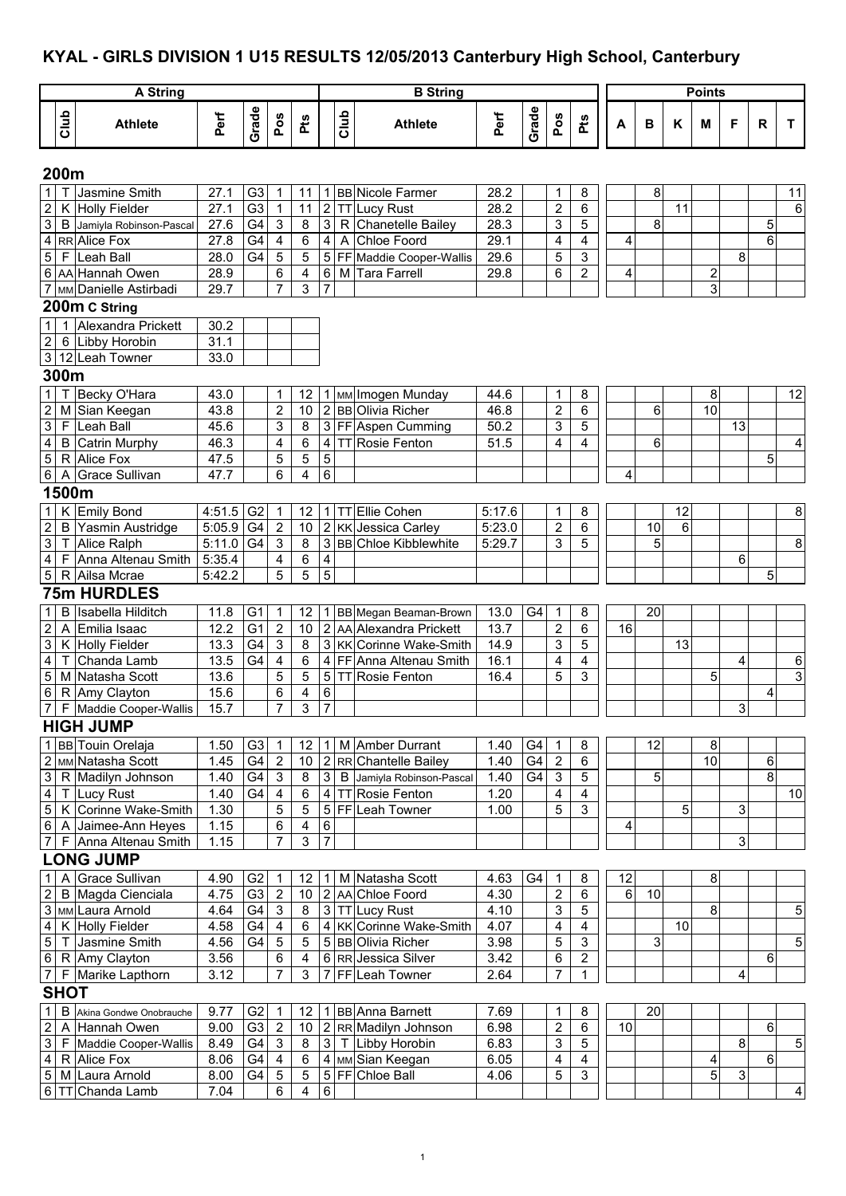## **KYAL - GIRLS DIVISION 1 U15 RESULTS 12/05/2013 Canterbury High School, Canterbury**

|                                             |             | <b>A String</b>                     |                     |                 |                                                      |                         |                         |      | <b>B</b> String                                |              |       |                                             |                              |    |    |      | <b>Points</b>           |                |   |                         |
|---------------------------------------------|-------------|-------------------------------------|---------------------|-----------------|------------------------------------------------------|-------------------------|-------------------------|------|------------------------------------------------|--------------|-------|---------------------------------------------|------------------------------|----|----|------|-------------------------|----------------|---|-------------------------|
|                                             | Club        | <b>Athlete</b>                      | Perf                | Grade           | Pos                                                  | Pts                     |                         | Club | <b>Athlete</b>                                 | Perf         | Grade | Pos                                         | <b>Pts</b>                   | A  | B  | K    | M                       | F              | R | T.                      |
|                                             | 200m        |                                     |                     |                 |                                                      |                         |                         |      |                                                |              |       |                                             |                              |    |    |      |                         |                |   |                         |
| $\mathbf{1}$                                |             | Jasmine Smith                       | 27.1                | G <sub>3</sub>  | 1                                                    | 11                      |                         |      | 1 BB Nicole Farmer                             | 28.2         |       | 1                                           | 8                            |    | 8  |      |                         |                |   | 11                      |
| $\boldsymbol{2}$                            | K           | Holly Fielder                       | 27.1                | G <sub>3</sub>  | $\mathbf{1}$                                         | 11                      |                         |      | 2 TT Lucy Rust                                 | 28.2         |       | $\mathbf 2$                                 | 6                            |    |    | 11   |                         |                |   | 6                       |
| $\overline{3}$                              |             | B Jamiyla Robinson-Pascal           | 27.6                | G4              | $\ensuremath{\mathsf{3}}$                            | 8                       | 3 <sup>1</sup>          | R    | Chanetelle Bailey                              | 28.3         |       | 3                                           | 5                            |    | 8  |      |                         |                | 5 |                         |
| $\overline{4}$                              |             | RR Alice Fox                        | 27.8                | G4              | 4                                                    | 6                       | $\vert$ 4               | A    | <b>Chloe Foord</b>                             | 29.1         |       | 4                                           | 4                            | 4  |    |      |                         |                | 6 |                         |
| $\sqrt{5}$                                  |             | F Leah Ball                         | 28.0                | G4              | 5                                                    | 5                       |                         |      | 5 FF Maddie Cooper-Wallis                      | 29.6         |       | 5                                           | 3                            |    |    |      |                         | 8              |   |                         |
|                                             |             | 6 AA Hannah Owen                    | 28.9                |                 | 6                                                    | 4                       |                         |      | 6 M Tara Farrell                               | 29.8         |       | 6                                           | $\overline{2}$               | 4  |    |      | $\overline{\mathbf{c}}$ |                |   |                         |
|                                             |             | 7 MM Danielle Astirbadi             | 29.7                |                 | $\overline{7}$                                       | 3                       | 7                       |      |                                                |              |       |                                             |                              |    |    |      | 3                       |                |   |                         |
|                                             |             | 200m C String                       |                     |                 |                                                      |                         |                         |      |                                                |              |       |                                             |                              |    |    |      |                         |                |   |                         |
| $\mathbf{1}$                                |             | 1 Alexandra Prickett                | 30.2                |                 |                                                      |                         |                         |      |                                                |              |       |                                             |                              |    |    |      |                         |                |   |                         |
| $\boldsymbol{2}$                            |             | 6 Libby Horobin                     | 31.1                |                 |                                                      |                         |                         |      |                                                |              |       |                                             |                              |    |    |      |                         |                |   |                         |
|                                             |             | 3 12 Leah Towner                    | 33.0                |                 |                                                      |                         |                         |      |                                                |              |       |                                             |                              |    |    |      |                         |                |   |                         |
|                                             | 300m        |                                     |                     |                 |                                                      |                         |                         |      |                                                |              |       |                                             |                              |    |    |      |                         |                |   |                         |
| $\mathbf{1}$                                | T           | Becky O'Hara                        | 43.0                |                 | 1                                                    | 12                      |                         |      | 1 MM Imogen Munday                             | 44.6         |       | 1                                           | 8                            |    |    |      | 8                       |                |   | 12                      |
| $\boldsymbol{2}$                            |             | M Sian Keegan                       | 43.8                |                 | $\overline{2}$                                       | 10                      |                         |      | 2 BB Olivia Richer                             | 46.8         |       | $\overline{2}$                              | 6                            |    | 6  |      | 10                      |                |   |                         |
| $\overline{3}$                              |             | F Leah Ball                         | 45.6                |                 | 3                                                    | 8                       |                         |      | 3 FF Aspen Cumming                             | 50.2         |       | 3                                           | 5                            |    |    |      |                         | 13             |   |                         |
| $\overline{\mathbf{4}}$                     |             | <b>B</b> Catrin Murphy              | 46.3                |                 | 4                                                    | 6                       |                         |      | 4 TT Rosie Fenton                              | 51.5         |       | 4                                           | 4                            |    | 6  |      |                         |                |   | $\overline{\mathbf{4}}$ |
| $\overline{5}$                              |             | R Alice Fox                         | 47.5                |                 | 5                                                    | 5                       | $\overline{5}$          |      |                                                |              |       |                                             |                              |    |    |      |                         |                | 5 |                         |
| $\sigma$                                    |             | A Grace Sullivan                    | 47.7                |                 | 6                                                    | 4                       | $6\phantom{1}$          |      |                                                |              |       |                                             |                              | 4  |    |      |                         |                |   |                         |
|                                             | 1500m       |                                     |                     |                 |                                                      |                         |                         |      |                                                |              |       |                                             |                              |    |    |      |                         |                |   |                         |
| $\overline{1}$                              |             | K Emily Bond                        | $4:51.5$ G2         |                 | 1                                                    | 12                      |                         |      | 1   TT Ellie Cohen                             | 5:17.6       |       | 1                                           | 8                            |    |    | 12   |                         |                |   | 8                       |
| $\overline{2}$                              |             | B Yasmin Austridge                  | 5:05.9              | G4              | $\overline{2}$                                       | 10                      |                         |      | 2 KK Jessica Carley                            | 5:23.0       |       | $\overline{2}$                              | 6                            |    | 10 | 6    |                         |                |   |                         |
| $\overline{3}$                              |             | T Alice Ralph                       | $\overline{5:}11.0$ | G <sub>4</sub>  | 3                                                    | 8                       |                         |      | 3 BB Chloe Kibblewhite                         | 5:29.7       |       | 3                                           | 5                            |    | 5  |      |                         |                |   | 8                       |
| $\overline{4}$                              |             | F Anna Altenau Smith                | 5:35.4              |                 | 4                                                    | 6                       | $\overline{\mathbf{4}}$ |      |                                                |              |       |                                             |                              |    |    |      |                         | 6              |   |                         |
| $\sqrt{5}$                                  |             | R Ailsa Mcrae                       | 5:42.2              |                 | 5                                                    | 5                       | $\overline{5}$          |      |                                                |              |       |                                             |                              |    |    |      |                         |                | 5 |                         |
|                                             |             | <b>75m HURDLES</b>                  |                     |                 |                                                      |                         |                         |      |                                                |              |       |                                             |                              |    |    |      |                         |                |   |                         |
| $\mathbf{1}$                                | B           | Isabella Hilditch                   | 11.8                | G <sub>1</sub>  | -1                                                   | 12                      |                         |      | 1 BB Megan Beaman-Brown                        | 13.0         | G4    | 1                                           | 8                            |    | 20 |      |                         |                |   |                         |
| $\boldsymbol{2}$                            |             | A Emilia Isaac                      | 12.2                | G <sub>1</sub>  | 2                                                    | 10                      |                         |      | 2 AA Alexandra Prickett                        | 13.7         |       | $\overline{\mathbf{c}}$                     | 6                            | 16 |    |      |                         |                |   |                         |
| 3                                           |             | K Holly Fielder                     | 13.3                | G4              | $\sqrt{3}$                                           | 8                       |                         |      | 3 KK Corinne Wake-Smith                        | 14.9         |       | 3                                           | 5                            |    |    | 13   |                         |                |   |                         |
| $\overline{\mathbf{4}}$                     | Т           | Chanda Lamb                         | 13.5                | G4              | 4                                                    | 6                       |                         |      | 4 FF Anna Altenau Smith                        | 16.1         |       | 4                                           | 4                            |    |    |      |                         | 4              |   | 6                       |
| $\overline{5}$                              |             | M Natasha Scott                     | 13.6                |                 | 5                                                    | 5                       |                         |      | 5 TT Rosie Fenton                              | 16.4         |       | 5                                           | 3                            |    |    |      | 5                       |                |   | $\overline{3}$          |
| $\sigma$                                    |             | R Amy Clayton                       | 15.6                |                 | 6                                                    | $\overline{4}$          | $\overline{6}$          |      |                                                |              |       |                                             |                              |    |    |      |                         |                | 4 |                         |
|                                             |             | 7 F Maddie Cooper-Wallis            | 15.7                |                 | $\overline{7}$                                       | 3 <sup>1</sup>          | $\overline{7}$          |      |                                                |              |       |                                             |                              |    |    |      |                         | $\overline{3}$ |   |                         |
|                                             |             | <b>HIGH JUMP</b>                    |                     |                 |                                                      |                         |                         |      |                                                |              |       |                                             |                              |    |    |      |                         |                |   |                         |
|                                             |             | 1 BB Touin Orelaja                  | 1.50                | G <sub>3</sub>  | -1                                                   | 12                      |                         |      | 1   M   Amber Durrant                          | 1.40         | G4    | $\mathbf 1$                                 | 8                            |    | 12 |      | 8                       |                |   |                         |
|                                             |             | 2 MM Natasha Scott                  | 1.45                | G4              | $\overline{2}$                                       | $10$                    |                         |      | 2 RR Chantelle Bailey                          | 1.40         | G4    | $\sqrt{2}$                                  | 6                            |    |    |      | 10                      |                | 6 |                         |
| $\ensuremath{\mathsf{3}}$<br>$\overline{4}$ |             | R Madilyn Johnson                   | 1.40<br>1.40        | G4<br>G4        | $\ensuremath{\mathsf{3}}$<br>$\overline{\mathbf{4}}$ | 8<br>6                  | 3 <sup>1</sup>          |      | B Jamiyla Robinson-Pascal<br>4 TT Rosie Fenton | 1.40<br>1.20 | G4    | $\ensuremath{\mathsf{3}}$<br>$\overline{4}$ | 5<br>$\overline{\mathbf{4}}$ |    | 5  |      |                         |                | 8 | 10                      |
| $\overline{5}$                              |             | T Lucy Rust<br>K Corinne Wake-Smith | 1.30                |                 | 5                                                    | 5                       |                         |      | 5 FF Leah Towner                               | 1.00         |       | 5                                           | 3                            |    |    | 5    |                         | 3              |   |                         |
| $\sigma$                                    |             | A Jaimee-Ann Heyes                  | 1.15                |                 | 6                                                    | $\overline{\mathbf{4}}$ | 6                       |      |                                                |              |       |                                             |                              | 4  |    |      |                         |                |   |                         |
| $\overline{7}$                              |             | F Anna Altenau Smith                | 1.15                |                 | $\overline{7}$                                       | 3                       | $\overline{7}$          |      |                                                |              |       |                                             |                              |    |    |      |                         | 3              |   |                         |
|                                             |             | <b>LONG JUMP</b>                    |                     |                 |                                                      |                         |                         |      |                                                |              |       |                                             |                              |    |    |      |                         |                |   |                         |
| $\mathbf{1}$                                |             | A Grace Sullivan                    | 4.90                | G <sub>2</sub>  | $\mathbf 1$                                          | 12                      |                         |      | 1 M Natasha Scott                              | 4.63         | G4    | 1                                           | 8                            | 12 |    |      | 8                       |                |   |                         |
| $\overline{2}$                              |             | B Magda Cienciala                   | 4.75                | G3              | $\overline{2}$                                       | 10                      |                         |      | 2 AA Chloe Foord                               | 4.30         |       | $\overline{2}$                              | 6                            | 6  | 10 |      |                         |                |   |                         |
|                                             |             | 3 MM Laura Arnold                   | 4.64                | G4              | $\mathbf{3}$                                         | 8                       |                         |      | 3 TT Lucy Rust                                 | 4.10         |       | 3                                           | 5                            |    |    |      | 8                       |                |   | 5                       |
| $\overline{\mathbf{4}}$                     |             | K Holly Fielder                     | 4.58                | G4              | 4                                                    | 6                       |                         |      | 4 KK Corinne Wake-Smith                        | 4.07         |       | 4                                           | 4                            |    |    | $10$ |                         |                |   |                         |
| $\,$ 5 $\,$                                 |             | T Jasmine Smith                     | 4.56                | G4              | $\sqrt{5}$                                           | 5                       |                         |      | 5 BB Olivia Richer                             | 3.98         |       | 5                                           | $\ensuremath{\mathsf{3}}$    |    | 3  |      |                         |                |   | 5                       |
| $\,$ 6 $\,$                                 |             | R Amy Clayton                       | 3.56                |                 | 6                                                    | 4                       |                         |      | 6 RR Jessica Silver                            | 3.42         |       | 6                                           | $\overline{\mathbf{c}}$      |    |    |      |                         |                | 6 |                         |
| 7 <sup>1</sup>                              |             | F Marike Lapthorn                   | 3.12                |                 | 7                                                    | 3                       |                         |      | 7 FF Leah Towner                               | 2.64         |       | 7                                           | 1                            |    |    |      |                         | 4              |   |                         |
|                                             | <b>SHOT</b> |                                     |                     |                 |                                                      |                         |                         |      |                                                |              |       |                                             |                              |    |    |      |                         |                |   |                         |
| 1                                           |             | B Akina Gondwe Onobrauche           | 9.77                | G <sub>2</sub>  | $\mathbf 1$                                          | 12                      |                         |      | 1 BB Anna Barnett                              | 7.69         |       | 1                                           | 8                            |    | 20 |      |                         |                |   |                         |
| $\overline{c}$                              |             | A Hannah Owen                       | 9.00                | G <sub>3</sub>  | $\overline{2}$                                       | 10                      |                         |      | 2 RR Madilyn Johnson                           | 6.98         |       | $\sqrt{2}$                                  | 6                            | 10 |    |      |                         |                | 6 |                         |
| $\overline{\omega}$                         |             | F Maddie Cooper-Wallis              | 8.49                | G4              | $\mathbf{3}$                                         | 8                       |                         |      | 3 T Libby Horobin                              | 6.83         |       | 3                                           | $\sqrt{5}$                   |    |    |      |                         | 8              |   | $\overline{5}$          |
| $\overline{4}$                              |             | R Alice Fox                         | 8.06                | G4              | $\overline{4}$                                       | $\overline{6}$          |                         |      | 4 MM Sian Keegan                               | 6.05         |       | 4                                           | 4                            |    |    |      | 4                       |                | 6 |                         |
| $\,$ 5 $\,$                                 |             | M Laura Arnold                      | 8.00                | $\overline{G4}$ | $\overline{5}$                                       | 5                       |                         |      | 5 FF Chloe Ball                                | 4.06         |       | 5                                           | 3                            |    |    |      | 5                       | ω              |   |                         |
|                                             |             | 6 TT Chanda Lamb                    | 7.04                |                 | 6                                                    | $\overline{4}$          | $\overline{6}$          |      |                                                |              |       |                                             |                              |    |    |      |                         |                |   | 4                       |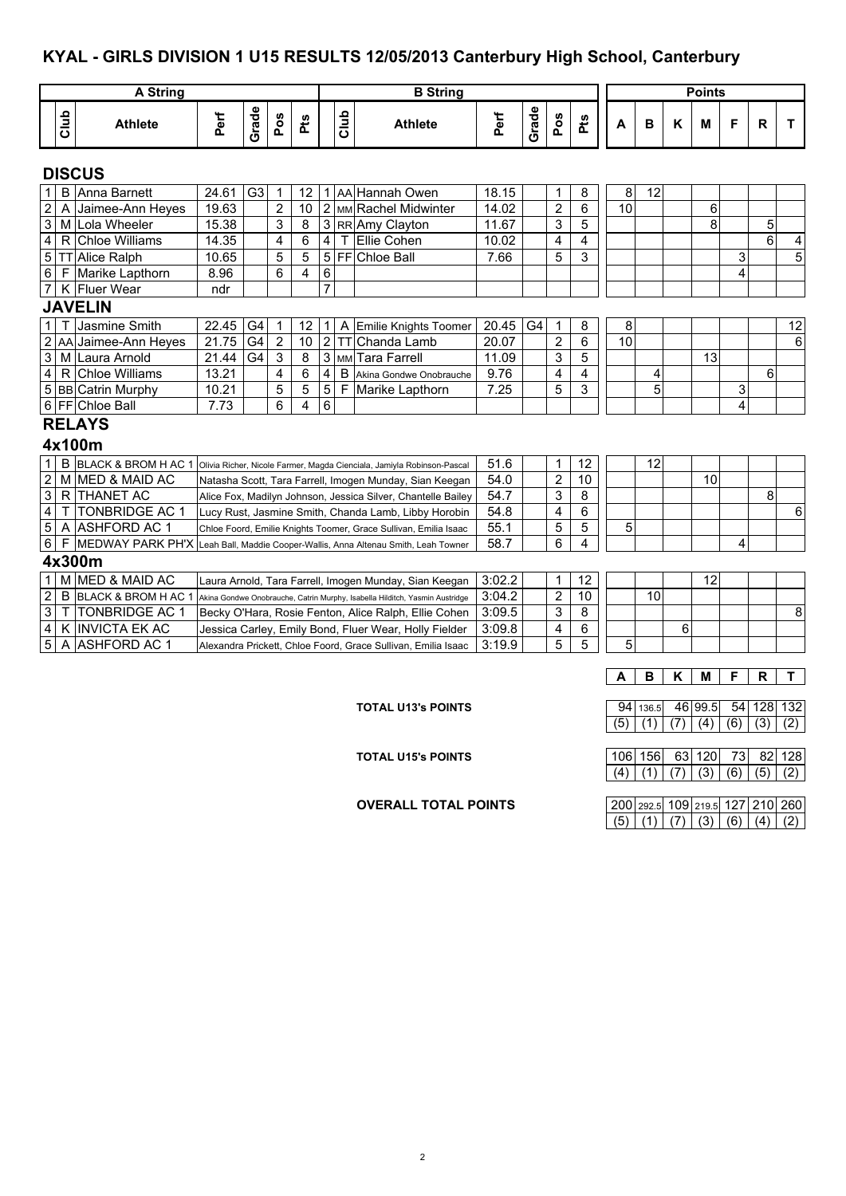#### **KYAL - GIRLS DIVISION 1 U15 RESULTS 12/05/2013 Canterbury High School, Canterbury**

|                           |      |                                                                                                   |       |                |                |     |                         |              |                                                                  |        |       |                |                         |                  |       |     | <b>Points</b>    |     |                |                |
|---------------------------|------|---------------------------------------------------------------------------------------------------|-------|----------------|----------------|-----|-------------------------|--------------|------------------------------------------------------------------|--------|-------|----------------|-------------------------|------------------|-------|-----|------------------|-----|----------------|----------------|
|                           |      | <b>A String</b>                                                                                   |       |                |                |     |                         |              | <b>B</b> String                                                  |        |       |                |                         |                  |       |     |                  |     |                |                |
|                           | Club | <b>Athlete</b>                                                                                    | Perf  | Grade          | Pos            | Pts |                         | Club         | <b>Athlete</b>                                                   | Perf   | Grade | Pos            | Pts                     | A                | в     | Κ   | М                | F   | R.             | т              |
|                           |      | <b>DISCUS</b>                                                                                     |       |                |                |     |                         |              |                                                                  |        |       |                |                         |                  |       |     |                  |     |                |                |
| 1                         |      | <b>B</b> Anna Barnett                                                                             | 24.61 | G <sub>3</sub> | $\mathbf 1$    | 12  |                         |              | 1   AA Hannah Owen                                               | 18.15  |       | 1              | 8                       | 8                | 12    |     |                  |     |                |                |
| $\overline{2}$            | A    | Jaimee-Ann Heyes                                                                                  | 19.63 |                | $\overline{2}$ | 10  |                         |              | 2 MM Rachel Midwinter                                            | 14.02  |       | $\overline{c}$ | 6                       | 10               |       |     | 6                |     |                |                |
| $\ensuremath{\mathsf{3}}$ |      | M Lola Wheeler                                                                                    | 15.38 |                | 3              | 8   |                         |              | 3 RR Amy Clayton                                                 | 11.67  |       | 3              | 5                       |                  |       |     | 8                |     | 5              |                |
| $\overline{\mathbf{4}}$   | R    | <b>Chloe Williams</b>                                                                             | 14.35 |                | $\overline{4}$ | 6   | $\overline{\mathbf{4}}$ | т            | Ellie Cohen                                                      | 10.02  |       | 4              | $\overline{\mathbf{4}}$ |                  |       |     |                  |     | $6\phantom{1}$ | 4              |
| $\overline{5}$            |      | <b>TT</b> Alice Ralph                                                                             | 10.65 |                | 5              | 5   |                         |              | 5 FF Chloe Ball                                                  | 7.66   |       | 5              | 3                       |                  |       |     |                  | 3   |                | $\overline{5}$ |
| $\overline{6}$            |      | F Marike Lapthorn                                                                                 | 8.96  |                | 6              | 4   | $\,6\,$                 |              |                                                                  |        |       |                |                         |                  |       |     |                  | 4   |                |                |
| $\overline{7}$            |      | K Fluer Wear                                                                                      | ndr   |                |                |     | $\overline{7}$          |              |                                                                  |        |       |                |                         |                  |       |     |                  |     |                |                |
|                           |      | <b>JAVELIN</b>                                                                                    |       |                |                |     |                         |              |                                                                  |        |       |                |                         |                  |       |     |                  |     |                |                |
| $\mathbf{1}$              | т    | Jasmine Smith                                                                                     | 22.45 | G <sub>4</sub> | 1              | 12  | 1 <sup>1</sup>          | Α            | Emilie Knights Toomer                                            | 20.45  | G4    | 1              | 8                       | 8                |       |     |                  |     |                | 12             |
| $\overline{2}$            |      | AA Jaimee-Ann Heyes                                                                               | 21.75 | G <sub>4</sub> | $\sqrt{2}$     | 10  |                         | $2$ TT       | Chanda Lamb                                                      | 20.07  |       | $\overline{2}$ | 6                       | 10               |       |     |                  |     |                | 6              |
| $\overline{\omega}$       | M    | Laura Arnold                                                                                      | 21.44 | G <sub>4</sub> | 3              | 8   |                         |              | 3 MM Tara Farrell                                                | 11.09  |       | 3              | 5                       |                  |       |     | 13               |     |                |                |
| $\overline{4}$            |      | R Chloe Williams                                                                                  | 13.21 |                | 4              | 6   | 4 <sup>1</sup>          | B            | Akina Gondwe Onobrauche                                          | 9.76   |       | 4              | $\overline{\mathbf{4}}$ |                  | 4     |     |                  |     | 6              |                |
|                           |      | 5 BB Catrin Murphy                                                                                | 10.21 |                | 5              | 5   | $\overline{5}$          | $\mathsf{F}$ | Marike Lapthorn                                                  | 7.25   |       | 5              | 3                       |                  | 5     |     |                  | 3   |                |                |
|                           |      | 6 FF Chloe Ball                                                                                   | 7.73  |                | 6              | 4   | $6\phantom{a}$          |              |                                                                  |        |       |                |                         |                  |       |     | 4                |     |                |                |
|                           |      | <b>RELAYS</b>                                                                                     |       |                |                |     |                         |              |                                                                  |        |       |                |                         |                  |       |     |                  |     |                |                |
|                           |      | 4x100m                                                                                            |       |                |                |     |                         |              |                                                                  |        |       |                |                         |                  |       |     |                  |     |                |                |
| $\mathbf{1}$              |      | B BLACK & BROM H AC 1 Olivia Richer, Nicole Farmer, Magda Cienciala, Jamiyla Robinson-Pascal      |       |                |                |     |                         |              |                                                                  | 51.6   |       | 1              | 12                      |                  | 12    |     |                  |     |                |                |
| $\overline{2}$            |      | M MED & MAID AC                                                                                   |       |                |                |     |                         |              | Natasha Scott, Tara Farrell, Imogen Munday, Sian Keegan          | 54.0   |       | $\overline{c}$ | $\overline{10}$         |                  |       |     | 10               |     |                |                |
| $\overline{3}$            |      | <b>RITHANET AC</b>                                                                                |       |                |                |     |                         |              | Alice Fox, Madilyn Johnson, Jessica Silver, Chantelle Bailey     | 54.7   |       | 3              | 8                       |                  |       |     |                  |     | 8              |                |
| $\overline{4}$            | Τ    | <b>TONBRIDGE AC 1</b>                                                                             |       |                |                |     |                         |              | Lucy Rust, Jasmine Smith, Chanda Lamb, Libby Horobin             | 54.8   |       | 4              | 6                       |                  |       |     |                  |     |                | 6              |
| $\overline{5}$            |      | A ASHFORD AC 1                                                                                    |       |                |                |     |                         |              | Chloe Foord, Emilie Knights Toomer, Grace Sullivan, Emilia Isaac | 55.1   |       | 5              | 5                       | 5                |       |     |                  |     |                |                |
| $\,6\,$                   | F    | MEDWAY PARK PH'X Leah Ball, Maddie Cooper-Wallis, Anna Altenau Smith, Leah Towner                 |       |                |                |     |                         |              |                                                                  | 58.7   |       | 6              | 4                       |                  |       |     |                  | 4   |                |                |
|                           |      | 4x300m                                                                                            |       |                |                |     |                         |              |                                                                  |        |       |                |                         |                  |       |     |                  |     |                |                |
| $\mathbf{1}$              |      | M MED & MAID AC                                                                                   |       |                |                |     |                         |              | Laura Arnold, Tara Farrell, Imogen Munday, Sian Keegan           | 3:02.2 |       | 1              | 12                      |                  |       |     | 12               |     |                |                |
| $\overline{2}$            |      | B BLACK & BROM H AC 1 Akina Gondwe Onobrauche, Catrin Murphy, Isabella Hilditch, Yasmin Austridge |       |                |                |     |                         |              |                                                                  | 3:04.2 |       | $\overline{2}$ | 10                      |                  | 10    |     |                  |     |                |                |
| $\ensuremath{\mathsf{3}}$ | Т    | <b>TONBRIDGE AC 1</b>                                                                             |       |                |                |     |                         |              | Becky O'Hara, Rosie Fenton, Alice Ralph, Ellie Cohen             | 3:09.5 |       | 3              | $\bf 8$                 |                  |       |     |                  |     |                | 8              |
| $\overline{\mathbf{4}}$   |      | K INVICTA EK AC                                                                                   |       |                |                |     |                         |              | Jessica Carley, Emily Bond, Fluer Wear, Holly Fielder            | 3:09.8 |       | 4              | 6                       |                  |       | 6   |                  |     |                |                |
| $5\phantom{.0}$           |      | A ASHFORD AC 1                                                                                    |       |                |                |     |                         |              | Alexandra Prickett, Chloe Foord, Grace Sullivan, Emilia Isaac    | 3:19.9 |       | 5              | 5                       | 5                |       |     |                  |     |                |                |
|                           |      |                                                                                                   |       |                |                |     |                         |              |                                                                  |        |       |                |                         |                  |       |     |                  |     |                |                |
|                           |      |                                                                                                   |       |                |                |     |                         |              |                                                                  |        |       |                |                         | A                | в     | Κ   | М                | F   | $\mathsf{R}$   | T.             |
|                           |      |                                                                                                   |       |                |                |     |                         |              | <b>TOTAL U13's POINTS</b>                                        |        |       |                |                         | 94               | 136.5 |     | 46 99.5          | 54  | 128            | 132            |
|                           |      |                                                                                                   |       |                |                |     |                         |              |                                                                  |        |       |                |                         | $\overline{(5)}$ | (1)   | (7) | $\overline{(4)}$ | (6) | (3)            | (2)            |

| <b>OVERALL TOTAL POINTS</b> |  |
|-----------------------------|--|

**TOTAL U15's POINTS** 106 156 83 120 73 82 128

|  | 200 292.5 109 219.5 127 210 260           |  |  |  |
|--|-------------------------------------------|--|--|--|
|  | $(5)$ $(1)$ $(7)$ $(3)$ $(6)$ $(4)$ $(2)$ |  |  |  |

 $(4)$   $(1)$   $(7)$   $(3)$   $(6)$   $(5)$   $(2)$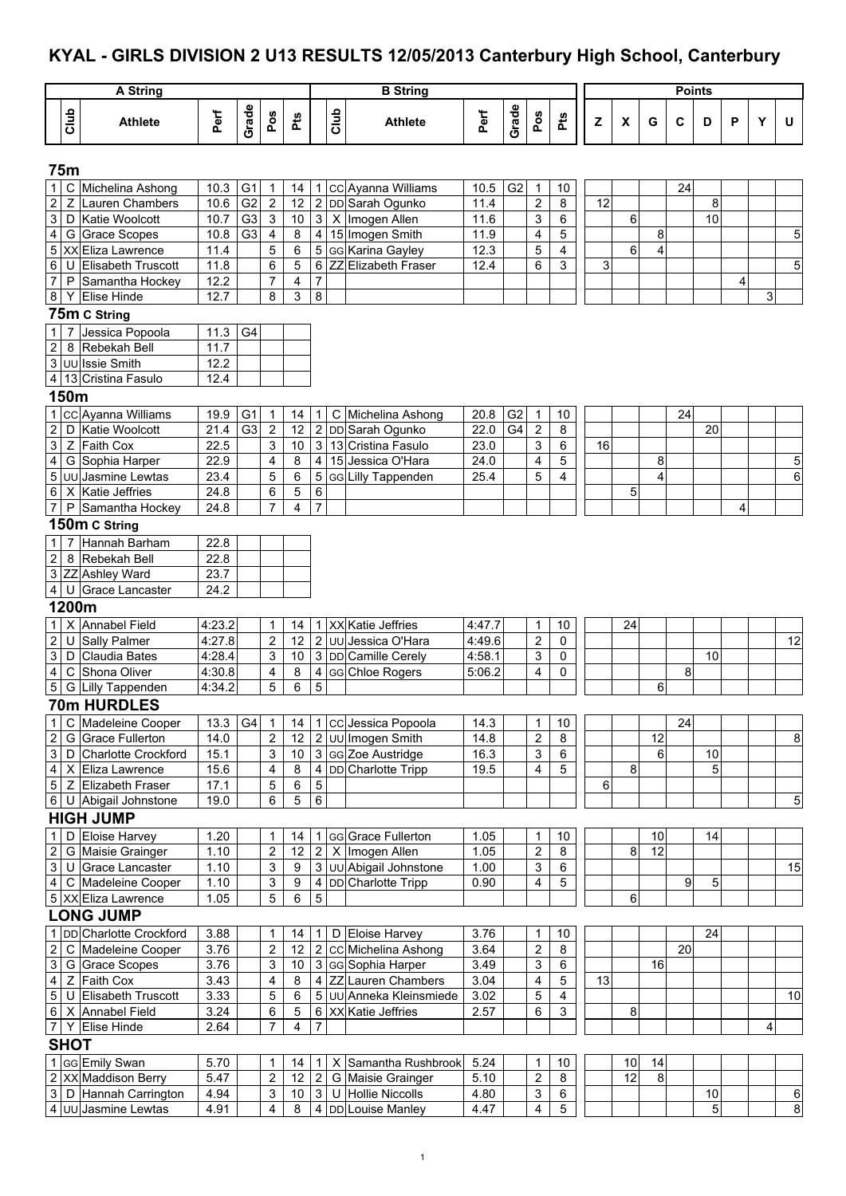## **KYAL - GIRLS DIVISION 2 U13 RESULTS 12/05/2013 Canterbury High School, Canterbury**

|                                  |                | A String                                    |              |                |                           |                     |                  |      | <b>B</b> String                          |              |                |                                  |                         |                                                                                   |    |          | <b>Points</b> |                |   |   |    |
|----------------------------------|----------------|---------------------------------------------|--------------|----------------|---------------------------|---------------------|------------------|------|------------------------------------------|--------------|----------------|----------------------------------|-------------------------|-----------------------------------------------------------------------------------|----|----------|---------------|----------------|---|---|----|
|                                  |                |                                             |              |                |                           |                     |                  |      |                                          |              |                |                                  |                         |                                                                                   |    |          |               |                |   |   |    |
|                                  | Club           | <b>Athlete</b>                              | Perf         | Grade          | Pos                       | Pts                 |                  | Club | <b>Athlete</b>                           | Perf         | Grade          | Pos                              | Pts                     | $\mathsf{Z}% _{T}=\mathsf{Z}_{T}\!\left( a,b\right) ,\ \mathsf{Z}=\mathsf{Z}_{T}$ | X  | G        | C             | D              | P | Y | U  |
|                                  | 75m            |                                             |              |                |                           |                     |                  |      |                                          |              |                |                                  |                         |                                                                                   |    |          |               |                |   |   |    |
| $\mathbf{1}$                     | C              | Michelina Ashong                            | 10.3         | G <sub>1</sub> | $\mathbf 1$               | 14                  |                  |      | 1 CC Ayanna Williams                     | 10.5         | G <sub>2</sub> | $\mathbf{1}$                     | 10                      |                                                                                   |    |          | 24            |                |   |   |    |
| $\overline{\mathbf{c}}$          | $\mathsf Z$    | Lauren Chambers                             | 10.6         | G <sub>2</sub> | $\overline{2}$            | 12                  |                  |      | 2 DD Sarah Ogunko                        | 11.4         |                | $\mathbf 2$                      | 8                       | 12                                                                                |    |          |               | 8              |   |   |    |
| 3                                |                | D Katie Woolcott                            | 10.7         | G <sub>3</sub> | $\mathsf 3$               | 10                  |                  |      | 3   X   Imogen Allen                     | 11.6         |                | 3                                | 6                       |                                                                                   | 6  |          |               | 10             |   |   |    |
| $\overline{\mathbf{r}}$          |                | G Grace Scopes                              | 10.8         | G <sub>3</sub> | $\overline{4}$            | 8                   | 4 <sup>1</sup>   |      | 15 Imogen Smith                          | 11.9         |                | 4                                | 5                       |                                                                                   |    | 8        |               |                |   |   | 5  |
| 5                                |                | XX Eliza Lawrence                           | 11.4         |                | 5                         | 6                   |                  |      | 5 GG Karina Gayley                       | 12.3         |                | 5                                | $\overline{4}$          |                                                                                   | 6  | 4        |               |                |   |   |    |
| 6                                | U              | <b>Elisabeth Truscott</b>                   | 11.8         |                | 6                         | 5                   |                  |      | 6 ZZ Elizabeth Fraser                    | 12.4         |                | 6                                | 3                       | 3                                                                                 |    |          |               |                |   |   | 5  |
| $\overline{7}$                   | P              | Samantha Hockey<br><b>Elise Hinde</b>       | 12.2<br>12.7 |                | $\overline{7}$<br>8       | $\overline{4}$<br>3 | 7<br>8           |      |                                          |              |                |                                  |                         |                                                                                   |    |          |               |                | 4 | 3 |    |
| $\bf 8$                          | Y              |                                             |              |                |                           |                     |                  |      |                                          |              |                |                                  |                         |                                                                                   |    |          |               |                |   |   |    |
|                                  |                | 75m C String                                |              |                |                           |                     |                  |      |                                          |              |                |                                  |                         |                                                                                   |    |          |               |                |   |   |    |
| $\mathbf{1}$                     |                | Jessica Popoola                             | 11.3<br>11.7 | G4             |                           |                     |                  |      |                                          |              |                |                                  |                         |                                                                                   |    |          |               |                |   |   |    |
| $\overline{2}$                   | 8              | Rebekah Bell<br>3 UU Issie Smith            | 12.2         |                |                           |                     |                  |      |                                          |              |                |                                  |                         |                                                                                   |    |          |               |                |   |   |    |
|                                  |                | 4 13 Cristina Fasulo                        | 12.4         |                |                           |                     |                  |      |                                          |              |                |                                  |                         |                                                                                   |    |          |               |                |   |   |    |
|                                  | 150m           |                                             |              |                |                           |                     |                  |      |                                          |              |                |                                  |                         |                                                                                   |    |          |               |                |   |   |    |
|                                  |                | 1 CC Ayanna Williams                        | 19.9         | G <sub>1</sub> | $\overline{1}$            | 14                  | 1                |      | C Michelina Ashong                       | 20.8         | G <sub>2</sub> |                                  | 10                      |                                                                                   |    |          | 24            |                |   |   |    |
| $\boldsymbol{2}$                 |                | D Katie Woolcott                            | 21.4         | G <sub>3</sub> | $\overline{2}$            | 12                  |                  |      | 2 DD Sarah Ogunko                        | 22.0         | G4             | $\mathbf{1}$<br>$\boldsymbol{2}$ | 8                       |                                                                                   |    |          |               | 20             |   |   |    |
| 3                                |                | Z Faith Cox                                 | 22.5         |                | 3                         | 10                  |                  |      | 3 13 Cristina Fasulo                     | 23.0         |                | 3                                | 6                       | 16                                                                                |    |          |               |                |   |   |    |
| 4                                |                | G Sophia Harper                             | 22.9         |                | 4                         | 8                   |                  |      | 4 15 Jessica O'Hara                      | 24.0         |                | $\overline{\mathbf{4}}$          | 5                       |                                                                                   |    | 8        |               |                |   |   | 5  |
| 5                                |                | UU Jasmine Lewtas                           | 23.4         |                | 5                         | 6                   |                  |      | 5 GG Lilly Tappenden                     | 25.4         |                | 5                                | 4                       |                                                                                   |    | 4        |               |                |   |   | 6  |
|                                  |                | 6 X Katie Jeffries                          | 24.8         |                | 6                         | 5                   | 6                |      |                                          |              |                |                                  |                         |                                                                                   | 5  |          |               |                |   |   |    |
| $\boldsymbol{7}$                 | $\mathsf{P}$   | Samantha Hockey                             | 24.8         |                | 7                         | 4                   | 7                |      |                                          |              |                |                                  |                         |                                                                                   |    |          |               |                | 4 |   |    |
|                                  |                | 150m C String                               |              |                |                           |                     |                  |      |                                          |              |                |                                  |                         |                                                                                   |    |          |               |                |   |   |    |
| $\mathbf{1}$                     | $\overline{7}$ | Hannah Barham                               | 22.8         |                |                           |                     |                  |      |                                          |              |                |                                  |                         |                                                                                   |    |          |               |                |   |   |    |
| $\overline{2}$                   |                | 8 Rebekah Bell                              | 22.8         |                |                           |                     |                  |      |                                          |              |                |                                  |                         |                                                                                   |    |          |               |                |   |   |    |
|                                  |                | 3 ZZ Ashley Ward                            | 23.7         |                |                           |                     |                  |      |                                          |              |                |                                  |                         |                                                                                   |    |          |               |                |   |   |    |
| 4 <sup>1</sup>                   | U              | <b>Grace Lancaster</b>                      | 24.2         |                |                           |                     |                  |      |                                          |              |                |                                  |                         |                                                                                   |    |          |               |                |   |   |    |
|                                  | 1200m          |                                             |              |                |                           |                     |                  |      |                                          |              |                |                                  |                         |                                                                                   |    |          |               |                |   |   |    |
| 1                                | X              | <b>Annabel Field</b>                        | 4:23.2       |                | 1                         | 14                  |                  |      | 1 XX Katie Jeffries                      | 4:47.7       |                | 1                                | 10                      |                                                                                   | 24 |          |               |                |   |   |    |
| $\sqrt{2}$                       | U              | Sally Palmer                                | 4:27.8       |                | $\overline{\mathbf{c}}$   | 12                  |                  |      | 2 UU Jessica O'Hara                      | 4:49.6       |                | $\boldsymbol{2}$                 | 0                       |                                                                                   |    |          |               |                |   |   | 12 |
| 3                                | D              | Claudia Bates                               | 4.28.4       |                | 3                         | 10                  |                  |      | 3 DD Camille Cerely                      | 4:58.1       |                | 3                                | 0                       |                                                                                   |    |          |               | 10             |   |   |    |
| $\overline{4}$                   | C              | Shona Oliver                                | 4:30.8       |                | 4                         | 8                   | $\overline{4}$   |      | GG Chloe Rogers                          | 5:06.2       |                | 4                                | 0                       |                                                                                   |    |          | 8             |                |   |   |    |
| 5                                |                | G Lilly Tappenden                           | 4:34.2       |                | 5                         | 6                   | 5                |      |                                          |              |                |                                  |                         |                                                                                   |    | 6        |               |                |   |   |    |
|                                  |                | 70m HURDLES                                 |              |                |                           |                     |                  |      |                                          |              |                |                                  |                         |                                                                                   |    |          |               |                |   |   |    |
| 1                                |                | C Madeleine Cooper                          | 13.3         | G4             | $\mathbf{1}$              | 14                  |                  |      | 1 CC Jessica Popoola                     | 14.3         |                | 1                                | 10                      |                                                                                   |    |          | 24            |                |   |   |    |
| $\boldsymbol{2}$                 |                | G Grace Fullerton                           | 14.0         |                | $\sqrt{2}$                | 12                  |                  |      | 2 UU Imogen Smith                        | 14.8         |                | $\boldsymbol{2}$                 | 8                       |                                                                                   |    | 12       |               |                |   |   | 8  |
| 3                                |                | D Charlotte Crockford                       | 15.1         |                | 3                         | 10                  |                  |      | 3 GG Zoe Austridge                       | 16.3         |                | 3                                | $\,6\,$                 |                                                                                   |    | 6        |               | 10             |   |   |    |
| 4                                |                | X Eliza Lawrence                            | 15.6         |                | 4                         | $\,8\,$             |                  |      | 4 DD Charlotte Tripp                     | 19.5         |                | $\overline{4}$                   | 5                       |                                                                                   | 8  |          |               | 5              |   |   |    |
| 5                                |                | Z Elizabeth Fraser<br>6 U Abigail Johnstone | 17.1<br>19.0 |                | 5<br>6                    | 6<br>5              | $\mathbf 5$<br>6 |      |                                          |              |                |                                  |                         | 6                                                                                 |    |          |               |                |   |   | 5  |
|                                  |                | <b>HIGH JUMP</b>                            |              |                |                           |                     |                  |      |                                          |              |                |                                  |                         |                                                                                   |    |          |               |                |   |   |    |
|                                  |                |                                             |              |                |                           |                     |                  |      |                                          |              |                |                                  |                         |                                                                                   |    |          |               |                |   |   |    |
| $\mathbf{1}$<br>$\boldsymbol{2}$ | D              | Eloise Harvey<br>G Maisie Grainger          | 1.20<br>1.10 |                | 1<br>$\boldsymbol{2}$     | 14<br>12            |                  |      | 1 GG Grace Fullerton<br>2 X Imogen Allen | 1.05<br>1.05 |                | 1<br>$\boldsymbol{2}$            | 10<br>8                 |                                                                                   | 8  | 10<br>12 |               | 14             |   |   |    |
| $\mathbf{3}$                     |                | U Grace Lancaster                           | 1.10         |                | $\ensuremath{\mathsf{3}}$ | $\boldsymbol{9}$    |                  |      | 3 UU Abigail Johnstone                   | 1.00         |                | 3                                | 6                       |                                                                                   |    |          |               |                |   |   | 15 |
| $\overline{4}$                   |                | C Madeleine Cooper                          | 1.10         |                | 3                         | $\boldsymbol{9}$    |                  |      | 4 DD Charlotte Tripp                     | 0.90         |                | $\overline{4}$                   | $\mathbf 5$             |                                                                                   |    |          | 9             | 5              |   |   |    |
|                                  |                | 5 XX Eliza Lawrence                         | 1.05         |                | 5                         | 6                   | $\overline{5}$   |      |                                          |              |                |                                  |                         |                                                                                   | 6  |          |               |                |   |   |    |
|                                  |                | <b>LONG JUMP</b>                            |              |                |                           |                     |                  |      |                                          |              |                |                                  |                         |                                                                                   |    |          |               |                |   |   |    |
| $\mathbf{1}$                     |                | DD Charlotte Crockford                      | 3.88         |                | 1                         | 14                  | 11               |      | D Eloise Harvey                          | 3.76         |                | 1                                | 10                      |                                                                                   |    |          |               | 24             |   |   |    |
| $\overline{\mathbf{c}}$          |                | C Madeleine Cooper                          | 3.76         |                | $\mathbf 2$               | 12                  |                  |      | 2 CC Michelina Ashong                    | 3.64         |                | $\mathbf 2$                      | $\bf 8$                 |                                                                                   |    |          | 20            |                |   |   |    |
| 3                                |                | G Grace Scopes                              | 3.76         |                | 3                         | 10                  |                  |      | 3 GG Sophia Harper                       | 3.49         |                | 3                                | 6                       |                                                                                   |    | 16       |               |                |   |   |    |
| $\overline{4}$                   |                | Z Faith Cox                                 | 3.43         |                | 4                         | 8                   |                  |      | 4 ZZ Lauren Chambers                     | 3.04         |                | 4                                | $\overline{5}$          | 13                                                                                |    |          |               |                |   |   |    |
| $\overline{5}$                   |                | U Elisabeth Truscott                        | 3.33         |                | 5                         | 6                   |                  |      | 5 UU Anneka Kleinsmiede                  | 3.02         |                | 5                                | $\overline{\mathbf{4}}$ |                                                                                   |    |          |               |                |   |   | 10 |
| $\,6\,$                          |                | X Annabel Field                             | 3.24         |                | $\,6$                     | 5                   |                  |      | 6 XX Katie Jeffries                      | 2.57         |                | 6                                | $\mathfrak{S}$          |                                                                                   | 8  |          |               |                |   |   |    |
| $\overline{7}$                   |                | Y Elise Hinde                               | 2.64         |                | 7                         | $\overline{4}$      | 7                |      |                                          |              |                |                                  |                         |                                                                                   |    |          |               |                |   | 4 |    |
|                                  | <b>SHOT</b>    |                                             |              |                |                           |                     |                  |      |                                          |              |                |                                  |                         |                                                                                   |    |          |               |                |   |   |    |
|                                  |                | 1 GG Emily Swan                             | 5.70         |                | 1                         | 14                  | 1 <sup>1</sup>   |      | X Samantha Rushbrook                     | 5.24         |                | $\mathbf{1}$                     | 10                      |                                                                                   | 10 | 14       |               |                |   |   |    |
|                                  |                | 2 XX Maddison Berry                         | 5.47         |                | $\overline{2}$            | 12 <sup>7</sup>     | $\overline{2}$   |      | G Maisie Grainger                        | 5.10         |                | $\boldsymbol{2}$                 | $\bf 8$                 |                                                                                   | 12 | 8        |               |                |   |   |    |
|                                  |                | 3 D Hannah Carrington                       | 4.94         |                | 3                         | $10$                |                  |      | 3 U Hollie Niccolls                      | 4.80         |                | $\ensuremath{\mathsf{3}}$        | $\,6$                   |                                                                                   |    |          |               | $10$           |   |   | 6  |
|                                  |                | 4 UU Jasmine Lewtas                         | 4.91         |                | $\overline{4}$            | 8                   |                  |      | 4 DD Louise Manley                       | 4.47         |                | $\overline{4}$                   | $\overline{5}$          |                                                                                   |    |          |               | $\overline{5}$ |   |   | 8  |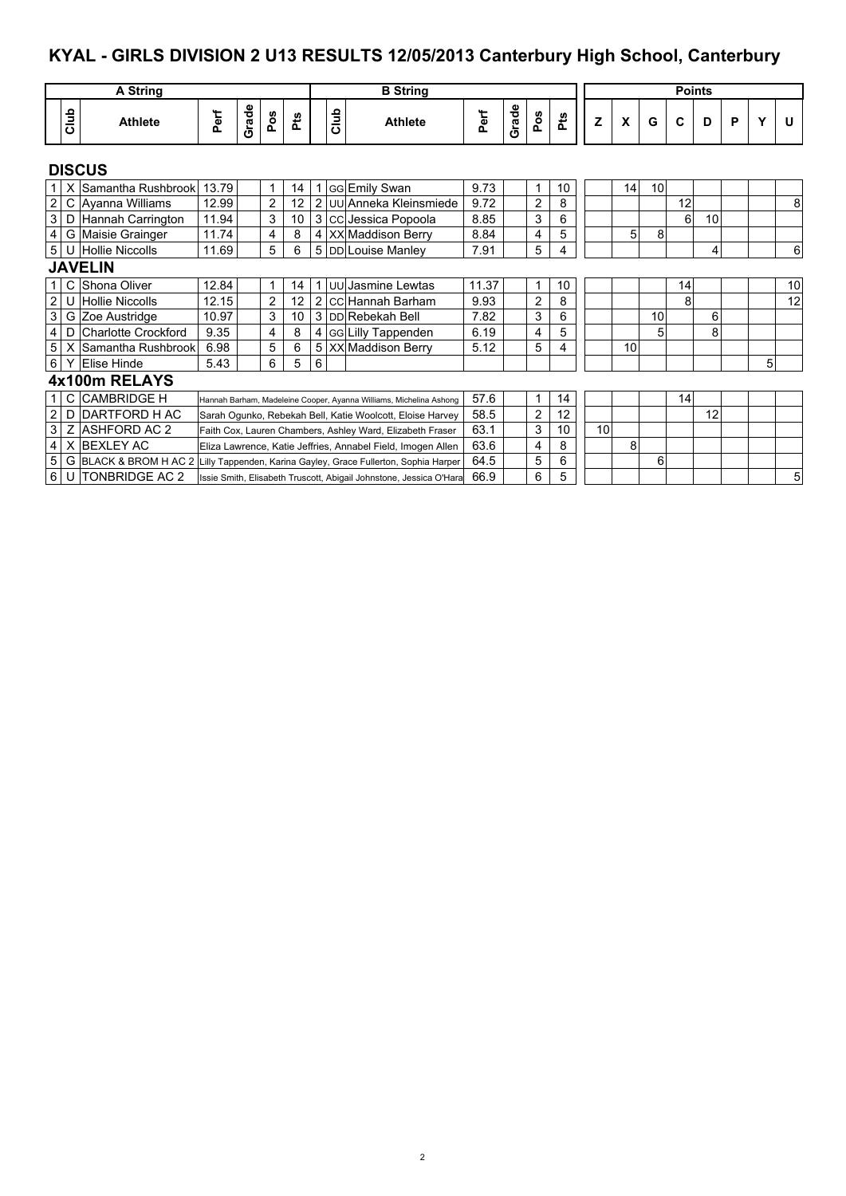## **KYAL - GIRLS DIVISION 2 U13 RESULTS 12/05/2013 Canterbury High School, Canterbury**

|                  |      | A String                   |       |       |     |     |                |      | <b>B</b> String                                                    |       |       |                |     |    |    |    | <b>Points</b> |    |   |   |    |
|------------------|------|----------------------------|-------|-------|-----|-----|----------------|------|--------------------------------------------------------------------|-------|-------|----------------|-----|----|----|----|---------------|----|---|---|----|
|                  | Club | <b>Athlete</b>             | Perf  | Grade | Pos | Pts |                | Club | <b>Athlete</b>                                                     | Perf  | Grade | Pos            | Pts | Z  | X  | G  | C             | D  | P |   | U  |
|                  |      | <b>DISCUS</b>              |       |       |     |     |                |      |                                                                    |       |       |                |     |    |    |    |               |    |   |   |    |
| 1 <sup>1</sup>   | X    | Samantha Rushbrook         | 13.79 |       | 1   | 14  | 1              |      | <b>GG</b> Emily Swan                                               | 9.73  |       | 1              | 10  |    | 14 | 10 |               |    |   |   |    |
| $\vert$ 2        |      | C Ayanna Williams          | 12.99 |       | 2   | 12  | $\overline{2}$ |      | <b>JUU</b> Anneka Kleinsmiede                                      | 9.72  |       | 2              | 8   |    |    |    | 12            |    |   |   | 8  |
| $\overline{3}$   | D    | Hannah Carrington          | 11.94 |       | 3   | 10  |                |      | 3 CC Jessica Popoola                                               | 8.85  |       | 3              | 6   |    |    |    | 6             | 10 |   |   |    |
| $\overline{4}$   |      | G Maisie Grainger          | 11.74 |       | 4   | 8   |                |      | 4 XX Maddison Berry                                                | 8.84  |       | 4              | 5   |    | 5  | 8  |               |    |   |   |    |
| 5 <sup>1</sup>   |      | U Hollie Niccolls          | 11.69 |       | 5   | 6   |                |      | 5 DD Louise Manley                                                 | 7.91  |       | 5              | 4   |    |    |    |               | 4  |   |   | 6  |
|                  |      | <b>JAVELIN</b>             |       |       |     |     |                |      |                                                                    |       |       |                |     |    |    |    |               |    |   |   |    |
| 1 <sup>1</sup>   | C    | Shona Oliver               | 12.84 |       |     | 14  | 1              |      | UU Jasmine Lewtas                                                  | 11.37 |       | 1              | 10  |    |    |    | 14            |    |   |   | 10 |
| $\overline{2}$   | U    | <b>Hollie Niccolls</b>     | 12.15 |       | 2   | 12  |                |      | 2 CC Hannah Barham                                                 | 9.93  |       | $\overline{2}$ | 8   |    |    |    | 8             |    |   |   | 12 |
| $\mathsf 3$      |      | G Zoe Austridge            | 10.97 |       | 3   | 10  |                |      | 3 DD Rebekah Bell                                                  | 7.82  |       | 3              | 6   |    |    | 10 |               | 6  |   |   |    |
| $\overline{4}$   | D    | <b>Charlotte Crockford</b> | 9.35  |       | 4   | 8   | 4              |      | <b>GG</b> Lilly Tappenden                                          | 6.19  |       | 4              | 5   |    |    | 5  |               | 8  |   |   |    |
| $\overline{5}$   | х    | Samantha Rushbrook         | 6.98  |       | 5   | 6   |                |      | 5 XX Maddison Berry                                                | 5.12  |       | 5              | 4   |    | 10 |    |               |    |   |   |    |
| $6 \mid$         |      | <b>Elise Hinde</b>         | 5.43  |       | 6   | 5   | 6              |      |                                                                    |       |       |                |     |    |    |    |               |    |   | 5 |    |
|                  |      | 4x100m RELAYS              |       |       |     |     |                |      |                                                                    |       |       |                |     |    |    |    |               |    |   |   |    |
| 1 <sup>1</sup>   |      | C CAMBRIDGE H              |       |       |     |     |                |      | Hannah Barham, Madeleine Cooper, Ayanna Williams, Michelina Ashong | 57.6  |       | 1              | 14  |    |    |    | 14            |    |   |   |    |
| $\boldsymbol{2}$ | D    | IDARTFORD H AC             |       |       |     |     |                |      | Sarah Ogunko, Rebekah Bell, Katie Woolcott, Eloise Harvey          | 58.5  |       | 2              | 12  |    |    |    |               | 12 |   |   |    |
| 3                | Ζ    | <b>ASHFORD AC 2</b>        |       |       |     |     |                |      | Faith Cox, Lauren Chambers, Ashley Ward, Elizabeth Fraser          | 63.1  |       | 3              | 10  | 10 |    |    |               |    |   |   |    |
| $\overline{4}$   |      | X BEXLEY AC                |       |       |     |     |                |      | Eliza Lawrence, Katie Jeffries, Annabel Field, Imogen Allen        | 63.6  |       | 4              | 8   |    | 8  |    |               |    |   |   |    |
| 5                |      | G BLACK & BROM H AC 2      |       |       |     |     |                |      | Lilly Tappenden, Karina Gayley, Grace Fullerton, Sophia Harper     | 64.5  |       | 5              | 6   |    |    | 6  |               |    |   |   |    |
| $6 \mid$         |      | U TONBRIDGE AC 2           |       |       |     |     |                |      | Issie Smith, Elisabeth Truscott, Abigail Johnstone, Jessica O'Hara | 66.9  |       | 6              | 5   |    |    |    |               |    |   |   | 5  |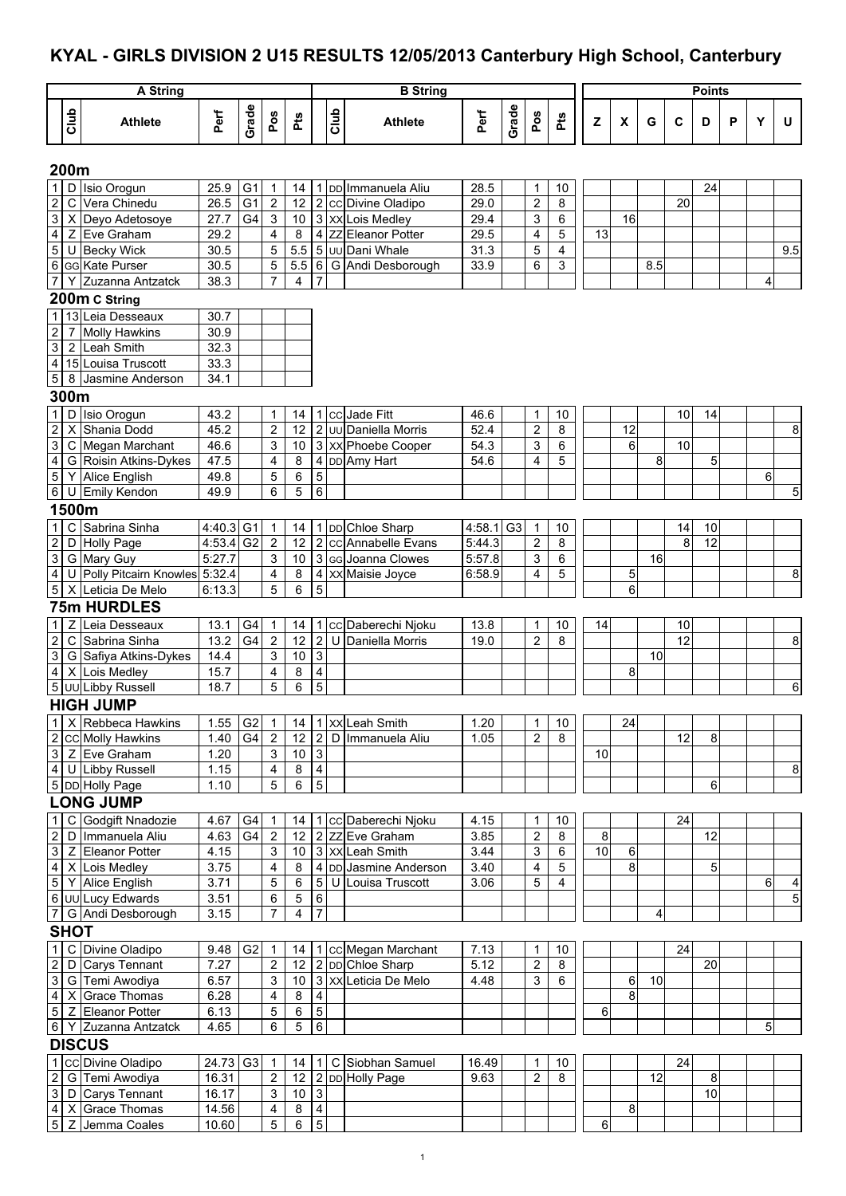#### **KYAL - GIRLS DIVISION 2 U15 RESULTS 12/05/2013 Canterbury High School, Canterbury**

|                                                      |                | A String                             |              |                |                                    |                  |                         |      | <b>B</b> String       |                     |                |                              |                |                |    |     |    | <b>Points</b> |   |                |                                           |
|------------------------------------------------------|----------------|--------------------------------------|--------------|----------------|------------------------------------|------------------|-------------------------|------|-----------------------|---------------------|----------------|------------------------------|----------------|----------------|----|-----|----|---------------|---|----------------|-------------------------------------------|
|                                                      |                |                                      |              |                |                                    |                  |                         |      |                       |                     |                |                              |                |                |    |     |    |               |   |                |                                           |
|                                                      | Club           | <b>Athlete</b>                       | Perf         | Grade          | Pos                                | Pts              |                         | Club | <b>Athlete</b>        | Perf                | Grade          | Pos                          | Pts            | Z              | X  | G   | C  | D             | P | Υ              | U                                         |
|                                                      | 200m           |                                      |              |                |                                    |                  |                         |      |                       |                     |                |                              |                |                |    |     |    |               |   |                |                                           |
| $\mathbf{1}$                                         |                | D Isio Orogun                        | 25.9         | G1             | $\overline{1}$                     | 14               |                         |      | 1 DD Immanuela Aliu   | 28.5                |                | 1                            | 10             |                |    |     |    | 24            |   |                |                                           |
| $\boldsymbol{2}$                                     | C              | Vera Chinedu                         | 26.5         | G <sub>1</sub> | $\overline{2}$                     | 12               |                         |      | 2 cc Divine Oladipo   | 29.0                |                | $\overline{c}$               | 8              |                |    |     | 20 |               |   |                |                                           |
| 3                                                    |                | X Deyo Adetosoye                     | 27.7         | G4             | $\sqrt{3}$                         | 10               |                         |      | 3 XX Lois Medley      | 29.4                |                | 3                            | 6              |                | 16 |     |    |               |   |                |                                           |
| $\overline{\mathbf{r}}$                              |                | Z Eve Graham                         | 29.2         |                | 4                                  | 8                |                         |      | 4 ZZ Eleanor Potter   | 29.5                |                | 4                            | 5              | 13             |    |     |    |               |   |                |                                           |
| $\overline{5}$                                       |                | U Becky Wick                         | 30.5         |                | 5                                  | 5.5              |                         |      | 5 Juu Dani Whale      | 31.3                |                | 5                            | 4              |                |    |     |    |               |   |                | 9.5                                       |
| 6                                                    |                | GG Kate Purser                       | 30.5         |                | 5                                  | 5.5              |                         |      | 6 G Andi Desborough   | 33.9                |                | 6                            | 3              |                |    | 8.5 |    |               |   |                |                                           |
| 7                                                    |                | Y Zuzanna Antzatck                   | 38.3         |                | $\overline{7}$                     | 4                | 7                       |      |                       |                     |                |                              |                |                |    |     |    |               |   | 4              |                                           |
|                                                      |                | 200m C String                        |              |                |                                    |                  |                         |      |                       |                     |                |                              |                |                |    |     |    |               |   |                |                                           |
| $\mathbf{1}$                                         |                | 13 Leia Desseaux                     | 30.7         |                |                                    |                  |                         |      |                       |                     |                |                              |                |                |    |     |    |               |   |                |                                           |
| $\boldsymbol{2}$                                     | $\overline{7}$ | <b>Molly Hawkins</b><br>2 Leah Smith | 30.9<br>32.3 |                |                                    |                  |                         |      |                       |                     |                |                              |                |                |    |     |    |               |   |                |                                           |
| $\ensuremath{\mathsf{3}}$<br>$\overline{\mathbf{4}}$ |                | 15 Louisa Truscott                   | 33.3         |                |                                    |                  |                         |      |                       |                     |                |                              |                |                |    |     |    |               |   |                |                                           |
| $\sqrt{5}$                                           |                | 8 Jasmine Anderson                   | 34.1         |                |                                    |                  |                         |      |                       |                     |                |                              |                |                |    |     |    |               |   |                |                                           |
|                                                      | 300m           |                                      |              |                |                                    |                  |                         |      |                       |                     |                |                              |                |                |    |     |    |               |   |                |                                           |
| $\mathbf{1}$                                         |                | D Isio Orogun                        | 43.2         |                | $\mathbf{1}$                       | 14               |                         |      | 1 cc Jade Fitt        | 46.6                |                | $\mathbf{1}$                 | 10             |                |    |     | 10 | 14            |   |                |                                           |
| $\overline{c}$                                       |                | X Shania Dodd                        | 45.2         |                | $\overline{2}$                     | 12               |                         |      | 2 Juu Daniella Morris | 52.4                |                | $\overline{c}$               | 8              |                | 12 |     |    |               |   |                | 8                                         |
| 3                                                    |                | C Megan Marchant                     | 46.6         |                | 3                                  | 10               |                         |      | 3 XX Phoebe Cooper    | 54.3                |                | 3                            | 6              |                | 6  |     | 10 |               |   |                |                                           |
| $\overline{4}$                                       |                | G Roisin Atkins-Dykes                | 47.5         |                | 4                                  | 8                |                         |      | 4 DD Amy Hart         | 54.6                |                | 4                            | 5              |                |    | 8   |    | 5             |   |                |                                           |
| $\mathbf 5$                                          |                | Y Alice English                      | 49.8         |                | 5                                  | 6                | $\overline{5}$          |      |                       |                     |                |                              |                |                |    |     |    |               |   | $6 \mid$       |                                           |
| $\,6\,$                                              |                | U Emily Kendon                       | 49.9         |                | 6                                  | 5                | 6                       |      |                       |                     |                |                              |                |                |    |     |    |               |   |                | 5                                         |
|                                                      | 1500m          |                                      |              |                |                                    |                  |                         |      |                       |                     |                |                              |                |                |    |     |    |               |   |                |                                           |
| $\mathbf{1}$                                         |                | C Sabrina Sinha                      | 4:40.3 G1    |                | $\overline{1}$                     | 14               |                         |      | 1 DD Chloe Sharp      | 4:58.1              | G <sub>3</sub> | $\mathbf{1}$                 | 10             |                |    |     | 14 | 10            |   |                |                                           |
| $\boldsymbol{2}$                                     |                | D Holly Page                         | 4:53.4       | G <sub>2</sub> | $\overline{c}$                     | 12               |                         |      | 2 cc Annabelle Evans  | 5.44.3              |                | $\boldsymbol{2}$             | 8              |                |    |     | 8  | 12            |   |                |                                           |
| $\ensuremath{\mathsf{3}}$                            |                | G Mary Guy                           | 5:27.7       |                | 3                                  | 10               |                         |      | 3 GG Joanna Clowes    | $\overline{5.57.8}$ |                | 3                            | 6              |                |    | 16  |    |               |   |                |                                           |
| $\overline{4}$                                       |                | U Polly Pitcairn Knowles 5:32.4      |              |                | 4                                  | 8                |                         |      | 4 XX Maisie Joyce     | 6:58.9              |                | 4                            | 5              |                | 5  |     |    |               |   |                | 8                                         |
| $\mathbf 5$                                          |                | X Leticia De Melo                    | 6:13.3       |                | 5                                  | 6                | 5                       |      |                       |                     |                |                              |                |                | 6  |     |    |               |   |                |                                           |
|                                                      |                | <b>75m HURDLES</b>                   |              |                |                                    |                  |                         |      |                       |                     |                |                              |                |                |    |     |    |               |   |                |                                           |
| $\mathbf{1}$                                         | Ζ              | Leia Desseaux                        | 13.1         | G4             | $\overline{1}$                     | 14               | 1                       |      | cc Daberechi Njoku    | 13.8                |                | 1                            | 10             | 14             |    |     | 10 |               |   |                |                                           |
| $\overline{c}$                                       |                | C Sabrina Sinha                      | 13.2         | G <sub>4</sub> | $\overline{c}$                     | 12               |                         |      | 2 U Daniella Morris   | 19.0                |                | $\overline{c}$               | 8              |                |    |     | 12 |               |   |                | 8                                         |
| 3                                                    |                | G Safiya Atkins-Dykes                | 14.4         |                | 3                                  | 10               | $\overline{3}$          |      |                       |                     |                |                              |                |                |    | 10  |    |               |   |                |                                           |
| $\overline{\mathbf{4}}$                              |                | X Lois Medley                        | 15.7         |                | 4                                  | 8                | 4                       |      |                       |                     |                |                              |                |                | 8  |     |    |               |   |                |                                           |
|                                                      |                | 5 UU Libby Russell                   | 18.7         |                | 5                                  | 6                | 5                       |      |                       |                     |                |                              |                |                |    |     |    |               |   |                | 6                                         |
|                                                      |                | <b>HIGH JUMP</b>                     |              |                |                                    |                  |                         |      |                       |                     |                |                              |                |                |    |     |    |               |   |                |                                           |
| $\mathbf{1}$                                         |                | X Rebbeca Hawkins                    | 1.55         | G2             | $\overline{1}$                     | 14               |                         |      | 1 XX Leah Smith       | 1.20                |                | 1                            | $10$           |                | 24 |     |    |               |   |                |                                           |
| $\overline{c}$                                       |                | <b>CC</b> Molly Hawkins              | 1.40         | G4             | $\overline{2}$                     | 12               |                         |      | 2 D Immanuela Aliu    | 1.05                |                | $\overline{2}$               | 8              |                |    |     | 12 | 8             |   |                |                                           |
| $\overline{3}$                                       |                | Z Eve Graham                         | 1.20         |                | 3                                  | $10\,$           | $\overline{3}$          |      |                       |                     |                |                              |                | 10             |    |     |    |               |   |                |                                           |
| $\overline{4}$                                       |                | U Libby Russell                      | 1.15         |                | 4                                  | 8                | $\overline{4}$          |      |                       |                     |                |                              |                |                |    |     |    |               |   |                | 8                                         |
|                                                      |                | 5 DD Holly Page                      | 1.10         |                | 5                                  | 6                | $\overline{5}$          |      |                       |                     |                |                              |                |                |    |     |    | 6             |   |                |                                           |
|                                                      |                | <b>LONG JUMP</b>                     |              |                |                                    |                  |                         |      |                       |                     |                |                              |                |                |    |     |    |               |   |                |                                           |
| $\mathbf{1}$                                         | $\mathsf{C}$   | Godgift Nnadozie                     | 4.67         | G4             | $\mathbf{1}$                       | 14               |                         |      | 1 cc Daberechi Njoku  | 4.15                |                | 1                            | 10             |                |    |     | 24 |               |   |                |                                           |
| $\boldsymbol{2}$                                     |                | D Immanuela Aliu                     | 4.63         | G4             | $\overline{2}$                     | 12               |                         |      | 2 ZZ Eve Graham       | 3.85                |                | $\overline{\mathbf{c}}$      | 8              | 8 <sup>1</sup> |    |     |    | 12            |   |                |                                           |
| $\overline{3}$                                       |                | Z Eleanor Potter                     | 4.15         |                | $\ensuremath{\mathsf{3}}$          | 10               |                         |      | 3 XX Leah Smith       | 3.44                |                | 3                            | 6              | 10             | 6  |     |    |               |   |                |                                           |
| $\overline{4}$                                       |                | X Lois Medley                        | 3.75         |                | 4                                  | 8                |                         |      | 4 DD Jasmine Anderson | 3.40                |                | 4                            | 5              |                | 8  |     |    | 5             |   |                |                                           |
| $\overline{5}$                                       |                | Y Alice English<br>6 UU Lucy Edwards | 3.71<br>3.51 |                | 5                                  | 6                | $\overline{6}$          |      | 5 U Louisa Truscott   | 3.06                |                | 5                            | $\overline{4}$ |                |    |     |    |               |   | $6 \mid$       | $\overline{\mathbf{r}}$<br>$\overline{5}$ |
| $\overline{7}$                                       |                | G Andi Desborough                    | 3.15         |                | 6<br>$\overline{7}$                | $\,$ 5 $\,$<br>4 | $\overline{7}$          |      |                       |                     |                |                              |                |                |    | 4   |    |               |   |                |                                           |
|                                                      | <b>SHOT</b>    |                                      |              |                |                                    |                  |                         |      |                       |                     |                |                              |                |                |    |     |    |               |   |                |                                           |
| $\mathbf{1}$                                         |                | C Divine Oladipo                     | 9.48         | G <sub>2</sub> |                                    |                  |                         |      | 1 cc Megan Marchant   | 7.13                |                |                              |                |                |    |     | 24 |               |   |                |                                           |
| $\overline{2}$                                       |                | D Carys Tennant                      | 7.27         |                | $\overline{1}$<br>$\boldsymbol{2}$ | 14<br>12         |                         |      | 2 DD Chloe Sharp      | $5.\overline{12}$   |                | 1<br>$\overline{\mathbf{c}}$ | $10$<br>8      |                |    |     |    | 20            |   |                |                                           |
| $\mathsf 3$                                          |                | G Temi Awodiya                       | 6.57         |                | 3                                  | $10$             |                         |      | 3 XX Leticia De Melo  | 4.48                |                | 3                            | 6              |                | 6  | 10  |    |               |   |                |                                           |
| $\overline{4}$                                       |                | X Grace Thomas                       | 6.28         |                | 4                                  | 8                | $\overline{\mathbf{4}}$ |      |                       |                     |                |                              |                |                | 8  |     |    |               |   |                |                                           |
| $\overline{5}$                                       |                | Z Eleanor Potter                     | 6.13         |                | 5                                  | 6                | $\overline{5}$          |      |                       |                     |                |                              |                | 6              |    |     |    |               |   |                |                                           |
|                                                      |                | 6 Y Zuzanna Antzatck                 | 4.65         |                | 6                                  | 5                | $\overline{6}$          |      |                       |                     |                |                              |                |                |    |     |    |               |   | 5 <sub>5</sub> |                                           |
|                                                      |                | <b>DISCUS</b>                        |              |                |                                    |                  |                         |      |                       |                     |                |                              |                |                |    |     |    |               |   |                |                                           |
| $\mathbf{1}$                                         |                | CC Divine Oladipo                    | 24.73 G3     |                | $\overline{1}$                     | 14               | 1 <sup>1</sup>          |      | C Siobhan Samuel      | 16.49               |                | 1                            | 10             |                |    |     | 24 |               |   |                |                                           |
| $\overline{c}$                                       |                | G Temi Awodiya                       | 16.31        |                | $\boldsymbol{2}$                   | 12               |                         |      | 2 DD Holly Page       | 9.63                |                | $\overline{2}$               | 8              |                |    | 12  |    | 8             |   |                |                                           |
| $\mathsf 3$                                          |                | D Carys Tennant                      | 16.17        |                | 3                                  | $10\,$           | $\overline{3}$          |      |                       |                     |                |                              |                |                |    |     |    | 10            |   |                |                                           |
| $\overline{4}$                                       |                | X Grace Thomas                       | 14.56        |                | 4                                  | 8                | $\overline{\mathbf{4}}$ |      |                       |                     |                |                              |                |                | 8  |     |    |               |   |                |                                           |
| $\overline{5}$                                       |                | Z Jemma Coales                       | 10.60        |                | 5                                  | $6\overline{}$   | $\overline{5}$          |      |                       |                     |                |                              |                | 6              |    |     |    |               |   |                |                                           |